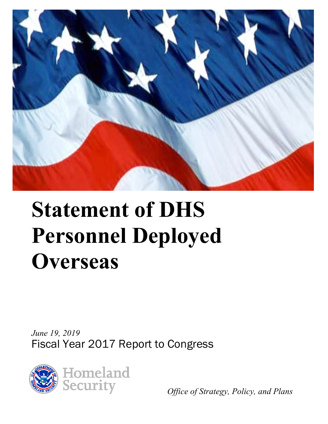

# **Statement of DHS Personnel Deployed Overseas**

*June 19, 2019*  Fiscal Year 2017 Report to Congress



*Office of Strategy, Policy, and Plans*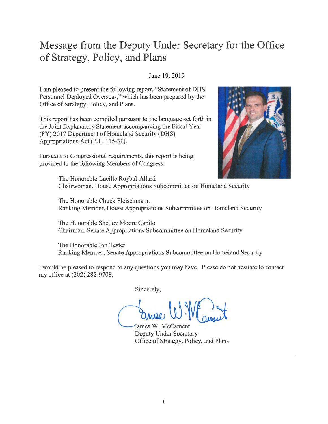### **Message from the Deputy Under Secretary for the Office of Strategy, Policy, and Plans**

#### June 19, 2019

I am pleased to present the following report, "Statement of DHS Personnel Deployed Overseas," which has been prepared by the Office of Strategy, Policy, and Plans.

This report has been compiled pursuant to the language set forth in the Joint Explanatory Statement accompanying the Fiscal Year (FY) 2017 Department of Homeland Security (DHS) Appropriations Act (P.L. 115-31).

Pursuant to Congressional requirements, this report is being provided to the following Members of Congress:



The Honorable Lucille Roybal-Allard Chairwoman, House Appropriations Subcommittee on Homeland Security

The Honorable Chuck Fleischmann Ranking Member, House Appropriations Subcommittee on Homeland Security

The Honorable Shelley Moore Capito Chairman, Senate Appropriations Subcommittee on Homeland Security

The Honorable Jon Tester Ranking Member, Senate Appropriations Subcommittee on Homeland Security

I would be pleased to respond to any questions you may have. Please do not hesitate to contact my office at (202) 282-9708.

Sincerely,

W. W. ameri

ames W. Mccament Deputy Under Secretary Office of Strategy, Policy, and Plans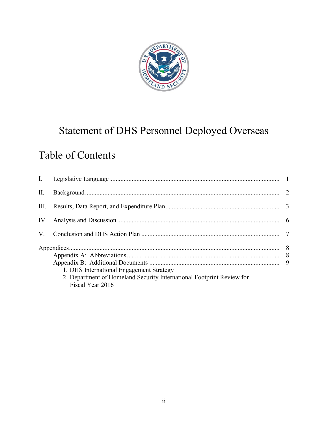

# Statement of DHS Personnel Deployed Overseas

# Table of Contents

| 1. DHS International Engagement Strategy<br>2. Department of Homeland Security International Footprint Review for<br>Fiscal Year 2016 |  |
|---------------------------------------------------------------------------------------------------------------------------------------|--|
|                                                                                                                                       |  |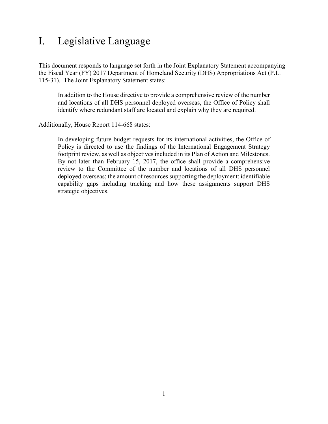### <span id="page-3-0"></span>I. Legislative Language

This document responds to language set forth in the Joint Explanatory Statement accompanying the Fiscal Year (FY) 2017 Department of Homeland Security (DHS) Appropriations Act (P.L. 115-31). The Joint Explanatory Statement states:

In addition to the House directive to provide a comprehensive review of the number and locations of all DHS personnel deployed overseas, the Office of Policy shall identify where redundant staff are located and explain why they are required.

Additionally, House Report 114-668 states:

In developing future budget requests for its international activities, the Office of Policy is directed to use the findings of the International Engagement Strategy footprint review, as well as objectives included in its Plan of Action and Milestones. By not later than February 15, 2017, the office shall provide a comprehensive review to the Committee of the number and locations of all DHS personnel deployed overseas; the amount of resources supporting the deployment; identifiable capability gaps including tracking and how these assignments support DHS strategic objectives.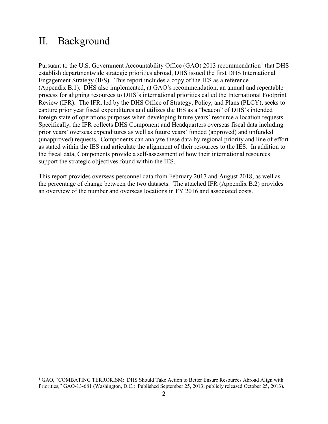### <span id="page-4-0"></span>II. Background

Pursuant to the U.S. Government Accountability Office (GAO) 20[1](#page-4-1)3 recommendation<sup>1</sup> that DHS establish departmentwide strategic priorities abroad, DHS issued the first DHS International Engagement Strategy (IES). This report includes a copy of the IES as a reference (Appendix B.1). DHS also implemented, at GAO's recommendation, an annual and repeatable process for aligning resources to DHS's international priorities called the International Footprint Review (IFR). The IFR, led by the DHS Office of Strategy, Policy, and Plans (PLCY), seeks to capture prior year fiscal expenditures and utilizes the IES as a "beacon" of DHS's intended foreign state of operations purposes when developing future years' resource allocation requests. Specifically, the IFR collects DHS Component and Headquarters overseas fiscal data including prior years' overseas expenditures as well as future years' funded (approved) and unfunded (unapproved) requests. Components can analyze these data by regional priority and line of effort as stated within the IES and articulate the alignment of their resources to the IES. In addition to the fiscal data, Components provide a self-assessment of how their international resources support the strategic objectives found within the IES.

This report provides overseas personnel data from February 2017 and August 2018, as well as the percentage of change between the two datasets. The attached IFR (Appendix B.2) provides an overview of the number and overseas locations in FY 2016 and associated costs.

<span id="page-4-1"></span> $\overline{a}$ <sup>1</sup> GAO, "COMBATING TERRORISM: DHS Should Take Action to Better Ensure Resources Abroad Align with Priorities," GAO-13-681 (Washington, D.C.: Published September 25, 2013; publicly released October 25, 2013).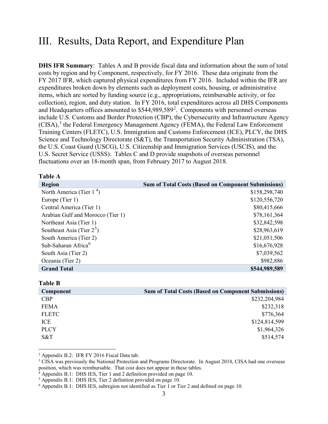### <span id="page-5-0"></span>III. Results, Data Report, and Expenditure Plan

**DHS IFR Summary**: Tables A and B provide fiscal data and information about the sum of total costs by region and by Component, respectively, for FY 2016. These data originate from the FY 2017 IFR, which captured physical expenditures from FY 2016. Included within the IFR are expenditures broken down by elements such as deployment costs, housing, or administrative items, which are sorted by funding source (e.g., appropriations, reimbursable activity, or fee collection), region, and duty station. In FY 2016, total expenditures across all DHS Components and Headquarters offices amounted to  $$544,989,589^2$  $$544,989,589^2$ . Components with personnel overseas include U.S. Customs and Border Protection (CBP), the Cybersecurity and Infrastructure Agency  $(CISA)$ ,<sup>[3](#page-5-2)</sup> the Federal Emergency Management Agency (FEMA), the Federal Law Enforcement Training Centers (FLETC), U.S. Immigration and Customs Enforcement (ICE), PLCY, the DHS Science and Technology Directorate (S&T), the Transportation Security Administration (TSA), the U.S. Coast Guard (USCG), U.S. Citizenship and Immigration Services (USCIS), and the U.S. Secret Service (USSS). Tables C and D provide snapshots of overseas personnel fluctuations over an 18-month span, from February 2017 to August 2018.

#### **Table A**

| <b>Region</b>                     | <b>Sum of Total Costs (Based on Component Submissions)</b> |
|-----------------------------------|------------------------------------------------------------|
| North America (Tier $14$ )        | \$158,298,740                                              |
| Europe (Tier 1)                   | \$120,556,720                                              |
| Central America (Tier 1)          | \$80,415,666                                               |
| Arabian Gulf and Morocco (Tier 1) | \$78,161,364                                               |
| Northeast Asia (Tier 1)           | \$32,842,598                                               |
| Southeast Asia (Tier $2^5$ )      | \$28,963,619                                               |
| South America (Tier 2)            | \$21,051,506                                               |
| Sub-Saharan Africa <sup>6</sup>   | \$16,676,928                                               |
| South Asia (Tier 2)               | \$7,039,562                                                |
| Oceania (Tier 2)                  | \$982,886                                                  |
| <b>Grand Total</b>                | \$544,989,589                                              |

**Table B**

 $\overline{a}$ 

| Component    | <b>Sum of Total Costs (Based on Component Submissions)</b> |
|--------------|------------------------------------------------------------|
| <b>CBP</b>   | \$232,204,984                                              |
| <b>FEMA</b>  | \$232,318                                                  |
| <b>FLETC</b> | \$776,364                                                  |
| ICE          | \$124,814,599                                              |
| <b>PLCY</b>  | \$1,964,326                                                |
| S&T          | \$514,574                                                  |

<span id="page-5-1"></span><sup>2</sup> Appendix B.2: IFR FY 2016 Fiscal Data tab.

<span id="page-5-2"></span><sup>3</sup> CISA was previously the National Protection and Programs Directorate. In August 2018, CISA had one overseas position, which was reimbursable. That cost does not appear in these tables.

<span id="page-5-3"></span> $4$  Appendix B.1: DHS IES, Tier 1 and 2 definition provided on page 10.

<span id="page-5-4"></span><sup>5</sup> Appendix B.1: DHS IES, Tier 2 definition provided on page 10.

<span id="page-5-5"></span><sup>6</sup> Appendix B.1: DHS IES, subregion not identified as Tier 1 or Tier 2 and defined on page 10.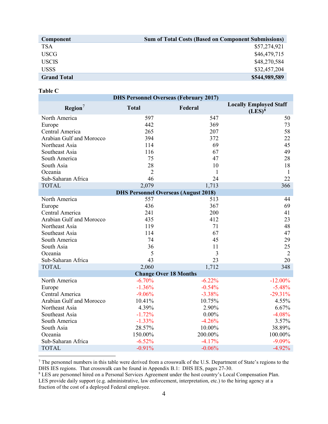| <b>Sum of Total Costs (Based on Component Submissions)</b> |
|------------------------------------------------------------|
| \$57,274,921                                               |
| \$46,479,715                                               |
| \$48,270,584                                               |
| \$32,457,204                                               |
| \$544,989,589                                              |
|                                                            |

#### **Table C**

 $\overline{a}$ 

|                                 |                | <b>DHS Personnel Overseas (February 2017)</b> |                                            |
|---------------------------------|----------------|-----------------------------------------------|--------------------------------------------|
| $\text{Region}^7$               | <b>Total</b>   | Federal                                       | <b>Locally Employed Staff</b><br>$(LES)^8$ |
| North America                   | 597            | 547                                           | 50                                         |
| Europe                          | 442            | 369                                           | 73                                         |
| Central America                 | 265            | 207                                           | 58                                         |
| Arabian Gulf and Morocco        | 394            | 372                                           | 22                                         |
| Northeast Asia                  | 114            | 69                                            | 45                                         |
| Southeast Asia                  | 116            | 67                                            | 49                                         |
| South America                   | 75             | 47                                            | 28                                         |
| South Asia                      | 28             | 10                                            | 18                                         |
| Oceania                         | $\overline{2}$ | 1                                             | $\mathbf{1}$                               |
| Sub-Saharan Africa              | 46             | 24                                            | 22                                         |
| <b>TOTAL</b>                    | 2,079          | 1,713                                         | 366                                        |
|                                 |                | <b>DHS Personnel Overseas (August 2018)</b>   |                                            |
| North America                   | 557            | 513                                           | 44                                         |
| Europe                          | 436            | 367                                           | 69                                         |
| Central America                 | 241            | 200                                           | 41                                         |
| <b>Arabian Gulf and Morocco</b> | 435            | 412                                           | 23                                         |
| Northeast Asia                  | 119            | 71                                            | 48                                         |
| Southeast Asia                  | 114            | 67                                            | 47                                         |
| South America                   | 74             | 45                                            | 29                                         |
| South Asia                      | 36             | 11                                            | 25                                         |
| Oceania                         | 5              | 3                                             | $\overline{2}$                             |
| Sub-Saharan Africa              | 43             | 23                                            | 20                                         |
| <b>TOTAL</b>                    | 2,060          | 1,712                                         | 348                                        |
|                                 |                | <b>Change Over 18 Months</b>                  |                                            |
| North America                   | $-6.70%$       | $-6.22%$                                      | $-12.00%$                                  |
| Europe                          | $-1.36%$       | $-0.54%$                                      | $-5.48%$                                   |
| Central America                 | $-9.06%$       | $-3.38%$                                      | $-29.31%$                                  |
| Arabian Gulf and Morocco        | 10.41%         | 10.75%                                        | 4.55%                                      |
| Northeast Asia                  | 4.39%          | 2.90%                                         | 6.67%                                      |
| Southeast Asia                  | $-1.72%$       | $0.00\%$                                      | $-4.08%$                                   |
| South America                   | $-1.33%$       | $-4.26%$                                      | 3.57%                                      |
| South Asia                      | 28.57%         | 10.00%                                        | 38.89%                                     |
| Oceania                         | 150.00%        | 200.00%                                       | 100.00%                                    |
| Sub-Saharan Africa              | $-6.52%$       | $-4.17%$                                      | $-9.09%$                                   |
| <b>TOTAL</b>                    | $-0.91%$       | $-0.06%$                                      | $-4.92%$                                   |

<span id="page-6-0"></span><sup>&</sup>lt;sup>7</sup> The personnel numbers in this table were derived from a crosswalk of the U.S. Department of State's regions to the DHS IES regions. That crosswalk can be found in Appendix B.1: DHS IES, pages  $27-30$ .

<span id="page-6-1"></span><sup>&</sup>lt;sup>8</sup> LES are personnel hired on a Personal Services Agreement under the host country's Local Compensation Plan. LES provide daily support (e.g. administrative, law enforcement, interpretation, etc.) to the hiring agency at a fraction of the cost of a deployed Federal employee.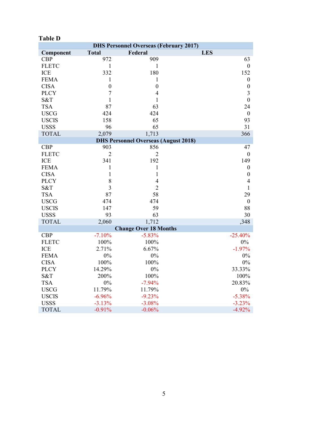|              |                  | <b>DHS Personnel Overseas (February 2017)</b> |                  |
|--------------|------------------|-----------------------------------------------|------------------|
| Component    | <b>Total</b>     | Federal                                       | <b>LES</b>       |
| <b>CBP</b>   | 972              | 909                                           | 63               |
| <b>FLETC</b> | 1                | 1                                             | $\boldsymbol{0}$ |
| ICE          | 332              | 180                                           | 152              |
| <b>FEMA</b>  | $\mathbf{1}$     | $\mathbf{1}$                                  | $\boldsymbol{0}$ |
| <b>CISA</b>  | $\boldsymbol{0}$ | $\boldsymbol{0}$                              | $\boldsymbol{0}$ |
| <b>PLCY</b>  | $\overline{7}$   | $\overline{4}$                                | 3                |
| S&T          | $\mathbf{1}$     | 1                                             | $\boldsymbol{0}$ |
| <b>TSA</b>   | 87               | 63                                            | 24               |
| <b>USCG</b>  | 424              | 424                                           | $\boldsymbol{0}$ |
| <b>USCIS</b> | 158              | 65                                            | 93               |
| <b>USSS</b>  | 96               | 65                                            | 31               |
| <b>TOTAL</b> | 2,079            | 1,713                                         | 366              |
|              |                  | <b>DHS Personnel Overseas (August 2018)</b>   |                  |
| <b>CBP</b>   | 903              | 856                                           | 47               |
| <b>FLETC</b> | $\overline{2}$   | $\overline{2}$                                | $\boldsymbol{0}$ |
| <b>ICE</b>   | 341              | 192                                           | 149              |
| <b>FEMA</b>  | $\mathbf{1}$     | $\mathbf{1}$                                  | $\boldsymbol{0}$ |
| <b>CISA</b>  | $\mathbf{1}$     | $\mathbf{1}$                                  | $\boldsymbol{0}$ |
| <b>PLCY</b>  | 8                | $\overline{4}$                                | $\overline{4}$   |
| S&T          | 3                | $\overline{2}$                                | 1                |
| <b>TSA</b>   | 87               | 58                                            | 29               |
| <b>USCG</b>  | 474              | 474                                           | $\boldsymbol{0}$ |
| <b>USCIS</b> | 147              | 59                                            | 88               |
| <b>USSS</b>  | 93               | 63                                            | 30               |
| <b>TOTAL</b> | 2,060            | 1,712                                         | ,348             |
|              |                  | <b>Change Over 18 Months</b>                  |                  |
| <b>CBP</b>   | $-7.10%$         | $-5.83%$                                      | $-25.40%$        |
| <b>FLETC</b> | 100%             | 100%                                          | $0\%$            |
| <b>ICE</b>   | 2.71%            | 6.67%                                         | $-1.97%$         |
| <b>FEMA</b>  | $0\%$            | 0%                                            | $0\%$            |
| <b>CISA</b>  | 100%             | 100%                                          | $0\%$            |
| <b>PLCY</b>  | 14.29%           | $0\%$                                         | 33.33%           |
| S&T          | 200%             | 100%                                          | 100%             |
| <b>TSA</b>   | $0\%$            | $-7.94%$                                      | 20.83%           |
| <b>USCG</b>  | 11.79%           | 11.79%                                        | $0\%$            |
| <b>USCIS</b> | $-6.96%$         | $-9.23%$                                      | $-5.38%$         |
| <b>USSS</b>  | $-3.13%$         | $-3.08%$                                      | $-3.23%$         |
| <b>TOTAL</b> | $-0.91%$         | $-0.06%$                                      | $-4.92%$         |

#### **Table D**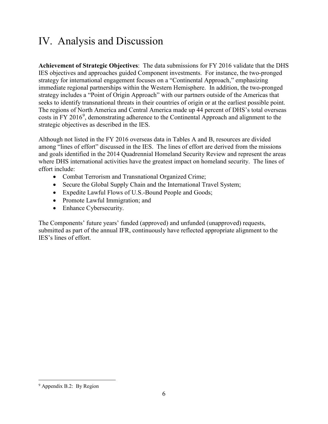## <span id="page-8-0"></span>IV. Analysis and Discussion

**Achievement of Strategic Objectives**: The data submissions for FY 2016 validate that the DHS IES objectives and approaches guided Component investments. For instance, the two-pronged strategy for international engagement focuses on a "Continental Approach," emphasizing immediate regional partnerships within the Western Hemisphere. In addition, the two-pronged strategy includes a "Point of Origin Approach" with our partners outside of the Americas that seeks to identify transnational threats in their countries of origin or at the earliest possible point. The regions of North America and Central America made up 44 percent of DHS's total overseas costs in FY 2016<sup>[9](#page-8-1)</sup>, demonstrating adherence to the Continental Approach and alignment to the strategic objectives as described in the IES.

Although not listed in the FY 2016 overseas data in Tables A and B, resources are divided among "lines of effort" discussed in the IES. The lines of effort are derived from the missions and goals identified in the 2014 Quadrennial Homeland Security Review and represent the areas where DHS international activities have the greatest impact on homeland security. The lines of effort include:

- Combat Terrorism and Transnational Organized Crime;
- Secure the Global Supply Chain and the International Travel System;
- Expedite Lawful Flows of U.S.-Bound People and Goods;
- Promote Lawful Immigration; and
- Enhance Cybersecurity.

The Components' future years' funded (approved) and unfunded (unapproved) requests, submitted as part of the annual IFR, continuously have reflected appropriate alignment to the IES's lines of effort.

 $\overline{a}$ 

<span id="page-8-1"></span><sup>&</sup>lt;sup>9</sup> Appendix B.2: By Region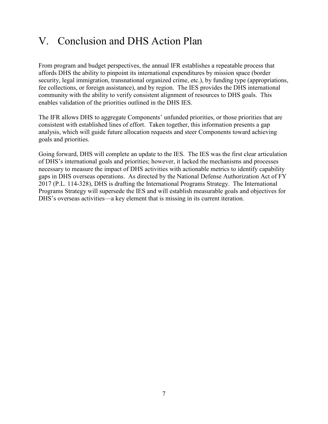### <span id="page-9-0"></span>V. Conclusion and DHS Action Plan

From program and budget perspectives, the annual IFR establishes a repeatable process that affords DHS the ability to pinpoint its international expenditures by mission space (border security, legal immigration, transnational organized crime, etc.), by funding type (appropriations, fee collections, or foreign assistance), and by region. The IES provides the DHS international community with the ability to verify consistent alignment of resources to DHS goals. This enables validation of the priorities outlined in the DHS IES.

The IFR allows DHS to aggregate Components' unfunded priorities, or those priorities that are consistent with established lines of effort. Taken together, this information presents a gap analysis, which will guide future allocation requests and steer Components toward achieving goals and priorities.

Going forward, DHS will complete an update to the IES. The IES was the first clear articulation of DHS's international goals and priorities; however, it lacked the mechanisms and processes necessary to measure the impact of DHS activities with actionable metrics to identify capability gaps in DHS overseas operations. As directed by the National Defense Authorization Act of FY 2017 (P.L. 114-328), DHS is drafting the International Programs Strategy. The International Programs Strategy will supersede the IES and will establish measurable goals and objectives for DHS's overseas activities—a key element that is missing in its current iteration.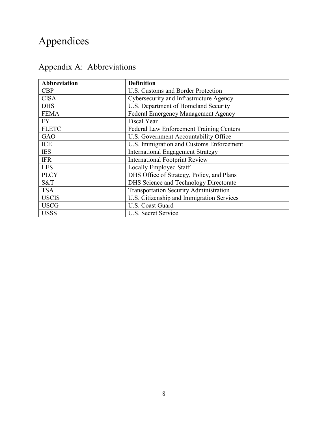# <span id="page-10-0"></span>Appendices

| Abbreviation | <b>Definition</b>                             |
|--------------|-----------------------------------------------|
| <b>CBP</b>   | U.S. Customs and Border Protection            |
| <b>CISA</b>  | Cybersecurity and Infrastructure Agency       |
| <b>DHS</b>   | U.S. Department of Homeland Security          |
| <b>FEMA</b>  | Federal Emergency Management Agency           |
| <b>FY</b>    | <b>Fiscal Year</b>                            |
| <b>FLETC</b> | Federal Law Enforcement Training Centers      |
| <b>GAO</b>   | U.S. Government Accountability Office         |
| <b>ICE</b>   | U.S. Immigration and Customs Enforcement      |
| <b>IES</b>   | <b>International Engagement Strategy</b>      |
| <b>IFR</b>   | <b>International Footprint Review</b>         |
| <b>LES</b>   | Locally Employed Staff                        |
| <b>PLCY</b>  | DHS Office of Strategy, Policy, and Plans     |
| S&T          | DHS Science and Technology Directorate        |
| <b>TSA</b>   | <b>Transportation Security Administration</b> |
| <b>USCIS</b> | U.S. Citizenship and Immigration Services     |
| <b>USCG</b>  | U.S. Coast Guard                              |
| <b>USSS</b>  | U.S. Secret Service                           |

# <span id="page-10-1"></span>Appendix A: Abbreviations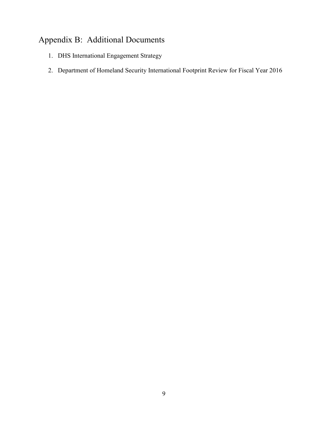### <span id="page-11-0"></span>Appendix B: Additional Documents

- <span id="page-11-1"></span>1. DHS International Engagement Strategy
- <span id="page-11-2"></span>2. Department of Homeland Security International Footprint Review for Fiscal Year 2016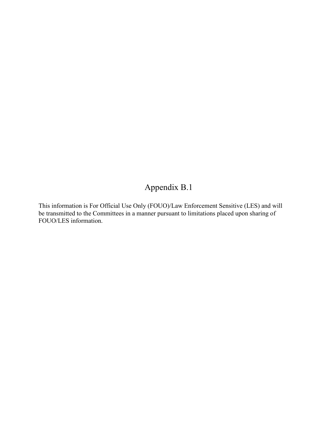### Appendix B.1

This information is For Official Use Only (FOUO)/Law Enforcement Sensitive (LES) and will be transmitted to the Committees in a manner pursuant to limitations placed upon sharing of FOUO/LES information.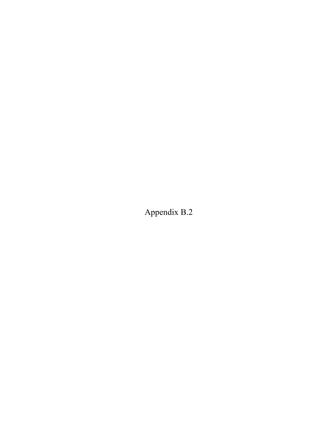Appendix B.2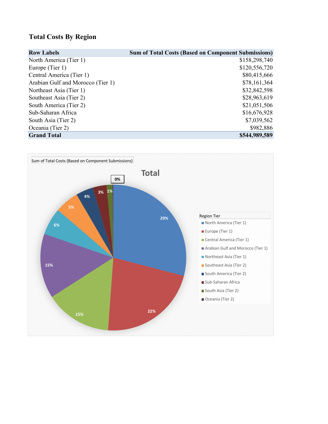### **Total Costs By Region**

| <b>Row Labels</b>                 | <b>Sum of Total Costs (Based on Component Submissions)</b> |
|-----------------------------------|------------------------------------------------------------|
| North America (Tier 1)            | \$158,298,740                                              |
| Europe (Tier 1)                   | \$120,556,720                                              |
| Central America (Tier 1)          | \$80,415,666                                               |
| Arabian Gulf and Morocco (Tier 1) | \$78,161,364                                               |
| Northeast Asia (Tier 1)           | \$32,842,598                                               |
| Southeast Asia (Tier 2)           | \$28,963,619                                               |
| South America (Tier 2)            | \$21,051,506                                               |
| Sub-Saharan Africa                | \$16,676,928                                               |
| South Asia (Tier 2)               | \$7,039,562                                                |
| Oceania (Tier 2)                  | \$982,886                                                  |
| <b>Grand Total</b>                | \$544,989,589                                              |

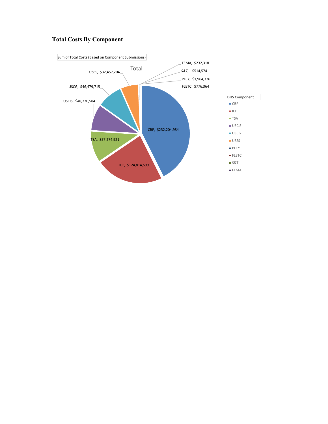### **Total Costs By Component**

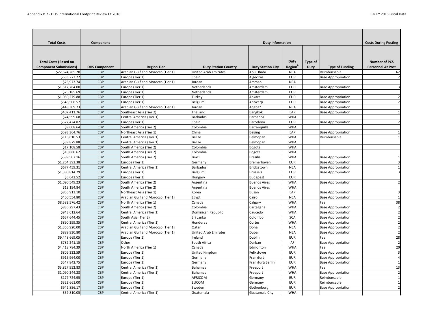| <b>Total Costs</b>                                            | Component            |                                   |                             | <b>Duty Information</b>  |                                    |                        |                           | <b>Costs During Posting</b>                      |
|---------------------------------------------------------------|----------------------|-----------------------------------|-----------------------------|--------------------------|------------------------------------|------------------------|---------------------------|--------------------------------------------------|
| <b>Total Costs (Based on</b><br><b>Component Submissions)</b> | <b>DHS Component</b> | <b>Region Tier</b>                | <b>Duty Station Country</b> | <b>Duty Station City</b> | <b>Duty</b><br>Region <sup>B</sup> | Type of<br><b>Duty</b> | <b>Type of Funding</b>    | <b>Number of PCS</b><br><b>Personnel At Post</b> |
| \$22,624,285.20                                               | <b>CBP</b>           | Arabian Gulf and Morocco (Tier 1) | <b>United Arab Emirates</b> | Abu Dhabi                | <b>NEA</b>                         |                        | Reimbursable              | 62                                               |
| \$633,273.22                                                  | <b>CBP</b>           | Europe (Tier 1)                   | Spain                       | Algeciras                | <b>EUR</b>                         |                        | <b>Base Appropriation</b> | $\overline{2}$                                   |
| \$25,973.74                                                   | <b>CBP</b>           | Arabian Gulf and Morocco (Tier 1) | Jordan                      | Amman                    | <b>NEA</b>                         |                        |                           |                                                  |
| \$1,512,764.00                                                | <b>CBP</b>           | Europe (Tier 1)                   | Netherlands                 | Amsterdam                | <b>EUR</b>                         |                        | <b>Base Appropriation</b> | 3                                                |
| \$26,185.69                                                   | <b>CBP</b>           | Europe (Tier 1)                   | Netherlands                 | Amsterdam                | <b>EUR</b>                         |                        |                           |                                                  |
| \$1,050,279.88                                                | <b>CBP</b>           | Europe (Tier 1)                   | Turkey                      | Ankara                   | <b>EUR</b>                         |                        | <b>Base Appropriation</b> |                                                  |
| \$648,506.57                                                  | <b>CBP</b>           | Europe (Tier 1)                   | Belgium                     | Antwerp                  | <b>EUR</b>                         |                        | <b>Base Appropriation</b> | 2                                                |
| \$448,309.73                                                  | <b>CBP</b>           | Arabian Gulf and Morocco (Tier 1) | Jordan                      | Aqaba*                   | <b>NEA</b>                         |                        | <b>Base Appropriation</b> |                                                  |
| \$407,411.76                                                  | <b>CBP</b>           | Southeast Asia (Tier 2)           | Thailand                    | Bangkok                  | EAP                                |                        | <b>Base Appropriation</b> |                                                  |
| \$24,599.68                                                   | <b>CBP</b>           | Central America (Tier 1)          | <b>Barbados</b>             | <b>Barbados</b>          | <b>WHA</b>                         |                        |                           |                                                  |
| \$572,424.82                                                  | <b>CBP</b>           | Europe (Tier 1)                   | Spain                       | Barcelona                | <b>EUR</b>                         |                        | <b>Base Appropriation</b> | 2                                                |
| \$9,608.64                                                    | <b>CBP</b>           | South America (Tier 2)            | Colombia                    | Barranquilla             | <b>WHA</b>                         |                        |                           |                                                  |
| \$593,364.76                                                  | <b>CBP</b>           | Northeast Asia (Tier 1)           | China                       | <b>Beijing</b>           | EAP                                |                        | <b>Base Appropriation</b> |                                                  |
| \$116,610.53                                                  | <b>CBP</b>           | Central America (Tier 1)          | <b>Belize</b>               | Belmopan                 | <b>WHA</b>                         |                        | Reimbursable              |                                                  |
| \$39,879.88                                                   | <b>CBP</b>           | Central America (Tier 1)          | <b>Belize</b>               | Belmopan                 | <b>WHA</b>                         |                        |                           |                                                  |
| \$17,108.58                                                   | <b>CBP</b>           | South America (Tier 2)            | Colombia                    | <b>Bogota</b>            | <b>WHA</b>                         |                        |                           |                                                  |
| \$10,880.62                                                   | <b>CBP</b>           | South America (Tier 2)            | Colombia                    | Bogota                   | <b>WHA</b>                         |                        |                           |                                                  |
| \$589,507.16                                                  | <b>CBP</b>           | South America (Tier 2)            | <b>Brazil</b>               | <b>Brasilia</b>          | <b>WHA</b>                         |                        | <b>Base Appropriation</b> |                                                  |
| \$1,264,392.38                                                | <b>CBP</b>           | Europe (Tier 1)                   | Germany                     | Bremerhaven              | <b>EUR</b>                         |                        | <b>Base Appropriation</b> |                                                  |
| \$677,459.31                                                  | <b>CBP</b>           | Central America (Tier 1)          | <b>Barbados</b>             | Bridgetown               | <b>NEA</b>                         |                        | <b>Base Appropriation</b> |                                                  |
| \$1,380,814.79                                                | <b>CBP</b>           | Europe (Tier 1)                   | Belgium                     | <b>Brussels</b>          | <b>EUR</b>                         |                        | <b>Base Appropriation</b> |                                                  |
| \$5,642.52                                                    | <b>CBP</b>           | Europe (Tier 1)                   | Hungary                     | Budapest                 | <b>EUR</b>                         |                        |                           |                                                  |
| \$1,090,549.23                                                | <b>CBP</b>           | South America (Tier 2)            | Argentina                   | <b>Buenos Aires</b>      | <b>WHA</b>                         |                        | <b>Base Appropriation</b> |                                                  |
| \$13,194.84                                                   | <b>CBP</b>           | South America (Tier 2)            | Argentina                   | <b>Buenos Aires</b>      | <b>WHA</b>                         |                        |                           |                                                  |
| \$855,913.10                                                  | <b>CBP</b>           | Northeast Asia (Tier 1)           | Korea                       | <b>Busan</b>             | EAP                                |                        | <b>Base Appropriation</b> |                                                  |
| \$450,554.80                                                  | <b>CBP</b>           | Arabian Gulf and Morocco (Tier 1) | Egypt                       | Cairo                    | <b>NEA</b>                         |                        | <b>Base Appropriation</b> |                                                  |
| \$8,582,576.42                                                | <b>CBP</b>           | North America (Tier 1)            | Canada                      | Calgary                  | <b>WHA</b>                         |                        | Fee                       | 38                                               |
| \$836,297.43                                                  | <b>CBP</b>           | South America (Tier 2)            | Colombia                    | Cartagena                | <b>WHA</b>                         |                        | <b>Base Appropriation</b> | $\overline{2}$                                   |
| \$943,612.64                                                  | <b>CBP</b>           | Central America (Tier 1)          | Dominican Republic          | Caucedo                  | <b>WHA</b>                         |                        | <b>Base Appropriation</b> | $\overline{2}$                                   |
| \$657,644.45                                                  | <b>CBP</b>           | South Asia (Tier 2)               | Sri Lanka                   | Colombo                  | <b>SCA</b>                         |                        | <b>Base Appropriation</b> | 2                                                |
| \$890,299.35                                                  | <b>CBP</b>           | Central America (Tier 1)          | Honduras                    | Cortes                   | <b>WHA</b>                         |                        | <b>Base Appropriation</b> | 2                                                |
| \$1,366,920.00                                                | <b>CBP</b>           | Arabian Gulf and Morocco (Tier 1) | Qatar                       | Doha                     | <b>NEA</b>                         |                        | <b>Base Appropriation</b> | $\overline{2}$                                   |
| \$889,930.80                                                  | <b>CBP</b>           | Arabian Gulf and Morocco (Tier 1) | <b>United Arab Emirates</b> | Dubai                    | <b>NEA</b>                         |                        | <b>Base Appropriation</b> |                                                  |
| \$9,448,669.05                                                | <b>CBP</b>           | Europe (Tier 1)                   | Ireland                     | Dublin                   | <b>EUR</b>                         |                        | Fee                       | 28                                               |
| \$782,241.15                                                  | <b>CBP</b>           | Other                             | South Africa                | Durban                   | AF                                 |                        | <b>Base Appropriation</b> | $\overline{2}$                                   |
| \$4,418,784.39                                                | <b>CBP</b>           | North America (Tier 1)            | Canada                      | Edmonton                 | <b>WHA</b>                         |                        | Fee                       | 20                                               |
| \$806,332.59                                                  | <b>CBP</b>           | Europe (Tier 1)                   | United Kingdom              | Felixstowe               | <b>EUR</b>                         |                        | <b>Base Appropriation</b> | 3                                                |
| \$916,964.00                                                  | <b>CBP</b>           | Europe (Tier 1)                   | Germany                     | Frankfurt                | <b>EUR</b>                         |                        | <b>Base Appropriation</b> |                                                  |
| \$547,842.75                                                  | <b>CBP</b>           | Europe (Tier 1)                   | Germany                     | Frankfurt/Berlin         | <b>EUR</b>                         |                        | <b>Base Appropriation</b> |                                                  |
| \$3,827,952.83                                                | <b>CBP</b>           | Central America (Tier 1)          | <b>Bahamas</b>              | Freeport                 | <b>WHA</b>                         |                        | Fee                       | 13                                               |
| \$1,090,244.28                                                | <b>CBP</b>           | Central America (Tier 1)          | <b>Bahamas</b>              | Freeport                 | <b>WHA</b>                         |                        | <b>Base Appropriation</b> | 2                                                |
| \$177,724.95                                                  | <b>CBP</b>           | Europe (Tier 1)                   | AFRICOM                     | Germany                  | <b>EUR</b>                         |                        | Reimbursable              |                                                  |
| \$322,661.00                                                  | <b>CBP</b>           | Europe (Tier 1)                   | <b>EUCOM</b>                | Germany                  | <b>EUR</b>                         |                        | Reimbursable              |                                                  |
| \$942,856.17                                                  | <b>CBP</b>           | Europe (Tier 1)                   | Sweden                      | Gothenburg               | <b>EUR</b>                         |                        | <b>Base Appropriation</b> | $\overline{2}$                                   |
| \$59,810.05                                                   | <b>CBP</b>           | Central America (Tier 1)          | Guatemala                   | Guatamala City           | <b>WHA</b>                         |                        |                           |                                                  |
|                                                               |                      |                                   |                             |                          |                                    |                        |                           |                                                  |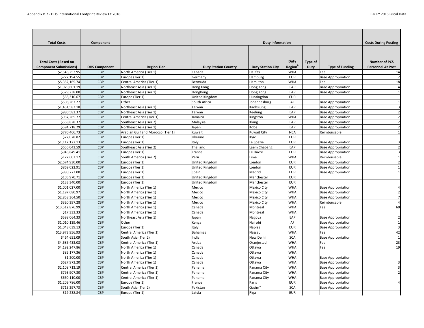| <b>Total Costs</b>            | Component            |                                   |                             | <b>Duty Information</b>  |                     |             |                           | <b>Costs During Posting</b> |
|-------------------------------|----------------------|-----------------------------------|-----------------------------|--------------------------|---------------------|-------------|---------------------------|-----------------------------|
| <b>Total Costs (Based on</b>  |                      |                                   |                             |                          | <b>Duty</b>         | Type of     |                           | <b>Number of PCS</b>        |
| <b>Component Submissions)</b> | <b>DHS Component</b> | <b>Region Tier</b>                | <b>Duty Station Country</b> | <b>Duty Station City</b> | Region <sup>B</sup> | <b>Duty</b> | <b>Type of Funding</b>    | <b>Personnel At Post</b>    |
| \$2,546,252.95                | <b>CBP</b>           | North America (Tier 1)            | Canada                      | Halifax                  | <b>WHA</b>          |             | Fee                       | 14                          |
| \$727,194.55                  | <b>CBP</b>           | Europe (Tier 1)                   | Germany                     | Hamburg                  | <b>EUR</b>          |             | <b>Base Appropriation</b> | $\overline{2}$              |
| \$5,352,165.74                | <b>CBP</b>           | Central America (Tier 1)          | Bermuda                     | Hamilton                 | <b>WHA</b>          |             | Fee                       | 18                          |
| \$1,979,601.19                | <b>CBP</b>           | Northeast Asia (Tier 1)           | <b>Hong Kong</b>            | Hong Kong                | EAP                 |             | <b>Base Appropriation</b> | 4                           |
| \$579,238.00                  | <b>CBP</b>           | Northeast Asia (Tier 1)           | HongKong                    | <b>Hong Kong</b>         | EAP                 |             | <b>Base Appropriation</b> |                             |
| \$38,310.67                   | <b>CBP</b>           | Europe (Tier 1)                   | United Kingdom              | Huntingdon               | <b>EUR</b>          |             |                           |                             |
| \$508,267.27                  | <b>CBP</b>           | Other                             | South Africa                | Johannesburg             | AF                  |             | <b>Base Appropriation</b> |                             |
| \$1,451,583.18                | <b>CBP</b>           | Northeast Asia (Tier 1)           | Taiwan                      | Kaohsiung                | EAP                 |             | <b>Base Appropriation</b> |                             |
| \$980,582.37                  | <b>CBP</b>           | Northeast Asia (Tier 1)           | Taiwan                      | Keelung                  | EAP                 |             | <b>Base Appropriation</b> | 2                           |
| \$937,265.77                  | <b>CBP</b>           | Central America (Tier 1)          | Jamaica                     | Kingston                 | <b>WHA</b>          |             | <b>Base Appropriation</b> | $\mathcal{P}$               |
| \$568,828.37                  | <b>CBP</b>           | Southeast Asia (Tier 2)           | Malaysia                    | Klang                    | EAP                 |             | <b>Base Appropriation</b> |                             |
| \$594,718.29                  | <b>CBP</b>           | Northeast Asia (Tier 1)           | Japan                       | Kobe                     | EAP                 |             | <b>Base Appropriation</b> | 2                           |
| \$770,466.73                  | <b>CBP</b>           | Arabian Gulf and Morocco (Tier 1) | Kuwait                      | <b>Kuwait City</b>       | <b>NEA</b>          |             | Reimbursable              |                             |
| \$22,078.82                   | <b>CBP</b>           | Europe (Tier 1)                   | Ukraine                     | Kyiv                     | <b>EUR</b>          |             |                           |                             |
| \$1,112,127.13                | <b>CBP</b>           | Europe (Tier 1)                   | Italy                       | La Spezia                | <b>EUR</b>          |             | <b>Base Appropriation</b> |                             |
| \$656,043.59                  | <b>CBP</b>           | Southeast Asia (Tier 2)           | Thailand                    | Laem Chabang             | EAP                 |             | <b>Base Appropriation</b> |                             |
| \$945,849.41                  | <b>CBP</b>           | Europe (Tier 1)                   | France                      | Le Havre                 | <b>EUR</b>          |             | <b>Base Appropriation</b> |                             |
| \$127,602.17                  | <b>CBP</b>           | South America (Tier 2)            | Peru                        | Lima                     | <b>WHA</b>          |             | Reimbursable              |                             |
| \$2,674,930.00                | <b>CBP</b>           | Europe (Tier 1)                   | <b>United Kingdom</b>       | London                   | <b>EUR</b>          |             | <b>Base Appropriation</b> |                             |
| \$869,022.91                  | <b>CBP</b>           | Europe (Tier 1)                   | United Kingdom              | London                   | <b>EUR</b>          |             | <b>Base Appropriation</b> |                             |
| \$880,773.00                  | <b>CBP</b>           | Europe (Tier 1)                   | Spain                       | Madrid                   | <b>EUR</b>          |             | <b>Base Appropriation</b> |                             |
| \$105,970.71                  | <b>CBP</b>           | Europe (Tier 1)                   | United Kingdom              | Manchester               | <b>EUR</b>          |             |                           |                             |
| \$133,340.00                  | <b>CBP</b>           | Europe (Tier 1)                   | <b>United Kingdom</b>       | Manchester               | <b>EUR</b>          |             |                           |                             |
| \$1,001,027.00                | <b>CBP</b>           | North America (Tier 1)            | Mexico                      | <b>Mexico City</b>       | <b>WHA</b>          |             | <b>Base Appropriation</b> | 4                           |
| \$1,197,680.97                | <b>CBP</b>           | North America (Tier 1)            | Mexico                      | <b>Mexico City</b>       | <b>WHA</b>          |             | <b>Base Appropriation</b> |                             |
| \$2,858,364.50                | <b>CBP</b>           | North America (Tier 1)            | Mexico                      | <b>Mexico City</b>       | <b>WHA</b>          |             | <b>Base Appropriation</b> |                             |
| \$320,397.28                  | <b>CBP</b>           | North America (Tier 1)            | Mexico                      | <b>Mexico City</b>       | <b>WHA</b>          |             | Reimbursable              | 4                           |
| \$13,512,876.99               | <b>CBP</b>           | North America (Tier 1)            | Canada                      | Montreal                 | <b>WHA</b>          |             | Fee                       | 60                          |
| \$17,333.33                   | <b>CBP</b>           | North America (Tier 1)            | Canada                      | Montreal                 | <b>WHA</b>          |             |                           |                             |
| \$598,064.33                  | <b>CBP</b>           | Northeast Asia (Tier 1)           | Japan                       | Nagoya                   | EAP                 |             | <b>Base Appropriation</b> |                             |
| \$1,010,139.46                | <b>CBP</b>           | Other                             | Kenya                       | Nairobi                  | AF                  |             | <b>Base Appropriation</b> |                             |
| \$1,048,639.13                | <b>CBP</b>           | Europe (Tier 1)                   | Italy                       | Naples                   | <b>EUR</b>          |             | <b>Base Appropriation</b> |                             |
| \$13,973,956.93               | <b>CBP</b>           | Central America (Tier 1)          | <b>Bahamas</b>              | Nassau                   | <b>WHA</b>          |             | Fee                       | 42                          |
| \$464,651.09                  | <b>CBP</b>           | South Asia (Tier 2)               | India                       | New Delhi                | <b>SCA</b>          |             | <b>Base Appropriation</b> |                             |
| \$4,686,433.08                | <b>CBP</b>           | Central America (Tier 1)          | Aruba                       | Oranjestad               | <b>WHA</b>          |             | Fee                       | 23                          |
| \$4,192,247.86                | <b>CBP</b>           | North America (Tier 1)            | Canada                      | Ottawa                   | <b>WHA</b>          |             | Fee                       | 19                          |
| \$85,177.36                   | <b>CBP</b>           | North America (Tier 1)            | Canada                      | Ottawa                   | <b>WHA</b>          |             |                           |                             |
| \$1,200.00                    | <b>CBP</b>           | North America (Tier 1)            | Canada                      | Ottawa                   | <b>WHA</b>          |             | <b>Base Appropriation</b> |                             |
| \$627,973.20                  | <b>CBP</b>           | North America (Tier 1)            | Canada                      | Ottawa                   | <b>WHA</b>          |             | <b>Base Appropriation</b> |                             |
| \$2,108,713.19                | <b>CBP</b>           | Central America (Tier 1)          | Panama                      | Panama City              | <b>WHA</b>          |             | <b>Base Appropriation</b> |                             |
| \$793,907.30                  | <b>CBP</b>           | Central America (Tier 1)          | Panama                      | Panama City              | <b>WHA</b>          |             | <b>Base Appropriation</b> |                             |
| \$660,110.00                  | <b>CBP</b>           | Central America (Tier 1)          | Panama                      | Panama City              | <b>WHA</b>          |             | <b>Base Appropriation</b> |                             |
| \$1,209,786.00                | <b>CBP</b>           | Europe (Tier 1)                   | France                      | Paris                    | <b>EUR</b>          |             | <b>Base Appropriation</b> |                             |
| \$715,297.73                  | <b>CBP</b>           | South Asia (Tier 2)               | Pakistan                    | Qasim*                   | <b>SCA</b>          |             | <b>Base Appropriation</b> |                             |
| \$19,238.84                   | <b>CBP</b>           | Europe (Tier 1)                   | Latvia                      | Riga                     | <b>EUR</b>          |             |                           |                             |
|                               |                      |                                   |                             |                          |                     |             |                           |                             |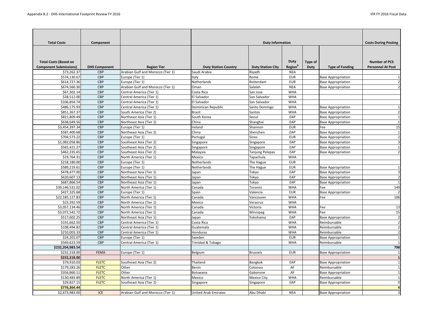| <b>Total Costs</b><br><b>Duty Information</b><br>Component<br><b>Duty</b><br><b>Number of PCS</b><br><b>Total Costs (Based on</b><br>Type of<br><b>Region</b> <sup>B</sup><br><b>Component Submissions)</b><br><b>Type of Funding</b><br><b>Personnel At Post</b><br><b>DHS Component</b><br><b>Region Tier</b><br><b>Duty Station Country</b><br><b>Duty Station City</b><br><b>Duty</b><br>Arabian Gulf and Morocco (Tier 1)<br>Saudi Arabia<br>\$73,262.37<br><b>CBP</b><br>Riyadh<br><b>NEA</b><br>\$574,130.67<br><b>CBP</b><br>Europe (Tier 1)<br><b>EUR</b><br><b>Base Appropriation</b><br>Italy<br>Rome<br>Netherlands<br>\$614,727.36<br><b>CBP</b><br>Europe (Tier 1)<br>Rotterdam<br><b>EUR</b><br><b>Base Appropriation</b><br>Arabian Gulf and Morocco (Tier 1)<br>\$674,560.30<br><b>CBP</b><br>Salalah<br>Oman<br><b>NEA</b><br><b>Base Appropriation</b><br>\$67,302.14<br><b>CBP</b><br>Costa Rica<br>Central America (Tier 1)<br>San Jose<br><b>WHA</b><br>\$28,512.00<br><b>CBP</b><br>El Salvador<br>Central America (Tier 1)<br>San Salvador<br><b>WHA</b><br>Central America (Tier 1)<br>El Salvador<br>San Salvador<br>\$106,854.74<br><b>CBP</b><br><b>WHA</b><br>\$486,175.93<br><b>CBP</b><br>Central America (Tier 1)<br>Dominican Republic<br>Santo Domingo<br><b>WHA</b><br><b>Base Appropriation</b><br>\$851,367.37<br><b>CBP</b><br>South America (Tier 2)<br><b>Brazil</b><br>Santos<br><b>WHA</b><br><b>Base Appropriation</b><br>\$821,809.49<br><b>CBP</b><br>Northeast Asia (Tier 1)<br>South Korea<br>Seoul<br>EAP<br><b>Base Appropriation</b><br>\$638,049.56<br><b>CBP</b><br>China<br>EAP<br>Northeast Asia (Tier 1)<br>Shanghai<br><b>Base Appropriation</b><br>\$3,454,397.34<br>Europe (Tier 1)<br>Ireland<br><b>CBP</b><br>Shannon<br><b>EUR</b><br>Fee<br>\$587,400.68<br><b>CBP</b><br>Northeast Asia (Tier 1)<br>EAP<br>China<br>Shenzhen<br><b>Base Appropriation</b><br>\$704,573.22<br><b>CBP</b><br>Europe (Tier 1)<br><b>EUR</b><br><b>Sines</b><br><b>Base Appropriation</b><br>Portugal<br>\$1,082,058.86<br><b>CBP</b><br>Southeast Asia (Tier 2)<br>EAP<br><b>Base Appropriation</b><br>Singapore<br>Singapore<br><b>CBP</b><br>EAP<br>\$565,421.27<br>Southeast Asia (Tier 2)<br><b>Base Appropriation</b><br>Singapore<br>Singapore<br>Southeast Asia (Tier 2)<br>\$462,335.65<br><b>CBP</b><br>Malaysia<br>Tanjung Pelepas<br>EAP<br><b>Base Appropriation</b><br>\$19,764.31<br><b>CBP</b><br>North America (Tier 1)<br>Mexico<br><b>WHA</b><br>Tapachula<br>\$218,180.00<br><b>CBP</b><br>Netherlands<br>Europe (Tier 1)<br>The Hague<br><b>EUR</b><br>\$589,219.61<br><b>CBP</b><br>Europe (Tier 1)<br>Netherlands<br>The Hague<br><b>EUR</b><br><b>Base Appropriation</b><br>\$478,477.00<br><b>CBP</b><br>EAP<br>Northeast Asia (Tier 1)<br>Tokyo<br><b>Base Appropriation</b><br>Japan<br>\$620,607.13<br><b>CBP</b><br>Northeast Asia (Tier 1)<br>Tokyo<br>EAP<br><b>Base Appropriation</b><br>Japan<br>\$687,866.54<br><b>CBP</b><br>Northeast Asia (Tier 1)<br>Tokyo<br>EAP<br><b>Base Appropriation</b><br>Japan<br>North America (Tier 1)<br>\$39,146,531.02<br><b>CBP</b><br>Canada<br>Toronto<br><b>WHA</b><br>Fee<br>\$427,325.68<br><b>CBP</b><br>Europe (Tier 1)<br>Valencia<br><b>EUR</b><br><b>Base Appropriation</b><br>Spain<br>\$22,185,127.83<br><b>CBP</b><br>North America (Tier 1)<br>Canada<br><b>WHA</b><br>Fee<br>Vancouver<br>\$23,392.59<br><b>CBP</b><br>North America (Tier 1)<br>Mexico<br><b>WHA</b><br>Veracruz<br>\$3,057,134.46<br><b>CBP</b><br>North America (Tier 1)<br>Victoria<br><b>WHA</b><br>Fee<br>Canada<br>\$3,072,542.72<br>North America (Tier 1)<br><b>CBP</b><br>Canada<br>Winnipeg<br><b>WHA</b><br>Fee<br>\$517,602.25<br><b>CBP</b><br>Northeast Asia (Tier 1)<br>EAP<br>Yokohama<br><b>Base Appropriation</b><br>Japan<br>\$191,662.50<br><b>CBP</b><br>Costa Rica<br>Central America (Tier 1)<br><b>WHA</b><br>Reimbursable<br>Reimbursable<br>\$108,494.82<br><b>CBP</b><br>Central America (Tier 1)<br>Guatemala<br><b>WHA</b><br>\$210,003.33<br><b>CBP</b><br>Reimbursable<br>Central America (Tier 1)<br>Honduras<br><b>WHA</b><br>Sweden<br>\$24,201.07<br><b>CBP</b><br>Europe (Tier 1)<br><b>EUR</b><br><b>Base Appropriation</b><br>Trinidad & Tobago<br>\$569,623.59<br><b>CBP</b><br>Central America (Tier 1)<br>Reimbursable<br><b>WHA</b><br>\$232,204,983.54<br>\$232,318.00<br><b>FEMA</b><br>Europe (Tier 1)<br>Belgium<br><b>Brussels</b><br><b>EUR</b><br><b>Base Appropriation</b><br>\$232,318.00<br>\$79,910.03<br><b>FLETC</b><br>Southeast Asia (Tier 2)<br>Thailand<br>EAP<br><b>Base Appropriation</b><br>Bangkok<br>\$179,283.26<br><b>FLETC</b><br>Benin<br>Reimbursable<br>Other<br>Cotonou<br>AF<br>\$356,860.11<br>Other<br><b>FLETC</b><br>AF<br><b>Base Appropriation</b><br>Botswana<br>Gaborone<br>North America (Tier 1)<br>Reimbursable<br>\$130,483.89<br><b>FLETC</b><br>Mexico<br>Mexico City<br><b>WHA</b><br>\$29,827.15<br><b>FLETC</b><br>Southeast Asia (Tier 2)<br>EAP<br><b>Base Appropriation</b><br>Singapore<br>Singapore<br>\$776,364.44 |                |     |                                   |                      |           |            |                           |                             |
|-------------------------------------------------------------------------------------------------------------------------------------------------------------------------------------------------------------------------------------------------------------------------------------------------------------------------------------------------------------------------------------------------------------------------------------------------------------------------------------------------------------------------------------------------------------------------------------------------------------------------------------------------------------------------------------------------------------------------------------------------------------------------------------------------------------------------------------------------------------------------------------------------------------------------------------------------------------------------------------------------------------------------------------------------------------------------------------------------------------------------------------------------------------------------------------------------------------------------------------------------------------------------------------------------------------------------------------------------------------------------------------------------------------------------------------------------------------------------------------------------------------------------------------------------------------------------------------------------------------------------------------------------------------------------------------------------------------------------------------------------------------------------------------------------------------------------------------------------------------------------------------------------------------------------------------------------------------------------------------------------------------------------------------------------------------------------------------------------------------------------------------------------------------------------------------------------------------------------------------------------------------------------------------------------------------------------------------------------------------------------------------------------------------------------------------------------------------------------------------------------------------------------------------------------------------------------------------------------------------------------------------------------------------------------------------------------------------------------------------------------------------------------------------------------------------------------------------------------------------------------------------------------------------------------------------------------------------------------------------------------------------------------------------------------------------------------------------------------------------------------------------------------------------------------------------------------------------------------------------------------------------------------------------------------------------------------------------------------------------------------------------------------------------------------------------------------------------------------------------------------------------------------------------------------------------------------------------------------------------------------------------------------------------------------------------------------------------------------------------------------------------------------------------------------------------------------------------------------------------------------------------------------------------------------------------------------------------------------------------------------------------------------------------------------------------------------------------------------------------------------------------------------------------------------------------------------------------------------------------------------------------------------------------------------------------------------------------------------------------------------------------------------------------------------------------------------------------------------------------------------------------------------------------------------------------------------------------------------------------------------------------------------------------------------------------------------------------------------------------------------------------------------------------------------------------------------------------------------------------------------------------------------------------------------------------------------------------------------------------------------------------------------------------------------------------------------------------------------------------------|----------------|-----|-----------------------------------|----------------------|-----------|------------|---------------------------|-----------------------------|
|                                                                                                                                                                                                                                                                                                                                                                                                                                                                                                                                                                                                                                                                                                                                                                                                                                                                                                                                                                                                                                                                                                                                                                                                                                                                                                                                                                                                                                                                                                                                                                                                                                                                                                                                                                                                                                                                                                                                                                                                                                                                                                                                                                                                                                                                                                                                                                                                                                                                                                                                                                                                                                                                                                                                                                                                                                                                                                                                                                                                                                                                                                                                                                                                                                                                                                                                                                                                                                                                                                                                                                                                                                                                                                                                                                                                                                                                                                                                                                                                                                                                                                                                                                                                                                                                                                                                                                                                                                                                                                                                                                                                                                                                                                                                                                                                                                                                                                                                                                                                                                                                                                                   |                |     |                                   |                      |           |            |                           | <b>Costs During Posting</b> |
|                                                                                                                                                                                                                                                                                                                                                                                                                                                                                                                                                                                                                                                                                                                                                                                                                                                                                                                                                                                                                                                                                                                                                                                                                                                                                                                                                                                                                                                                                                                                                                                                                                                                                                                                                                                                                                                                                                                                                                                                                                                                                                                                                                                                                                                                                                                                                                                                                                                                                                                                                                                                                                                                                                                                                                                                                                                                                                                                                                                                                                                                                                                                                                                                                                                                                                                                                                                                                                                                                                                                                                                                                                                                                                                                                                                                                                                                                                                                                                                                                                                                                                                                                                                                                                                                                                                                                                                                                                                                                                                                                                                                                                                                                                                                                                                                                                                                                                                                                                                                                                                                                                                   |                |     |                                   |                      |           |            |                           |                             |
|                                                                                                                                                                                                                                                                                                                                                                                                                                                                                                                                                                                                                                                                                                                                                                                                                                                                                                                                                                                                                                                                                                                                                                                                                                                                                                                                                                                                                                                                                                                                                                                                                                                                                                                                                                                                                                                                                                                                                                                                                                                                                                                                                                                                                                                                                                                                                                                                                                                                                                                                                                                                                                                                                                                                                                                                                                                                                                                                                                                                                                                                                                                                                                                                                                                                                                                                                                                                                                                                                                                                                                                                                                                                                                                                                                                                                                                                                                                                                                                                                                                                                                                                                                                                                                                                                                                                                                                                                                                                                                                                                                                                                                                                                                                                                                                                                                                                                                                                                                                                                                                                                                                   |                |     |                                   |                      |           |            |                           |                             |
|                                                                                                                                                                                                                                                                                                                                                                                                                                                                                                                                                                                                                                                                                                                                                                                                                                                                                                                                                                                                                                                                                                                                                                                                                                                                                                                                                                                                                                                                                                                                                                                                                                                                                                                                                                                                                                                                                                                                                                                                                                                                                                                                                                                                                                                                                                                                                                                                                                                                                                                                                                                                                                                                                                                                                                                                                                                                                                                                                                                                                                                                                                                                                                                                                                                                                                                                                                                                                                                                                                                                                                                                                                                                                                                                                                                                                                                                                                                                                                                                                                                                                                                                                                                                                                                                                                                                                                                                                                                                                                                                                                                                                                                                                                                                                                                                                                                                                                                                                                                                                                                                                                                   |                |     |                                   |                      |           |            |                           |                             |
|                                                                                                                                                                                                                                                                                                                                                                                                                                                                                                                                                                                                                                                                                                                                                                                                                                                                                                                                                                                                                                                                                                                                                                                                                                                                                                                                                                                                                                                                                                                                                                                                                                                                                                                                                                                                                                                                                                                                                                                                                                                                                                                                                                                                                                                                                                                                                                                                                                                                                                                                                                                                                                                                                                                                                                                                                                                                                                                                                                                                                                                                                                                                                                                                                                                                                                                                                                                                                                                                                                                                                                                                                                                                                                                                                                                                                                                                                                                                                                                                                                                                                                                                                                                                                                                                                                                                                                                                                                                                                                                                                                                                                                                                                                                                                                                                                                                                                                                                                                                                                                                                                                                   |                |     |                                   |                      |           |            |                           |                             |
|                                                                                                                                                                                                                                                                                                                                                                                                                                                                                                                                                                                                                                                                                                                                                                                                                                                                                                                                                                                                                                                                                                                                                                                                                                                                                                                                                                                                                                                                                                                                                                                                                                                                                                                                                                                                                                                                                                                                                                                                                                                                                                                                                                                                                                                                                                                                                                                                                                                                                                                                                                                                                                                                                                                                                                                                                                                                                                                                                                                                                                                                                                                                                                                                                                                                                                                                                                                                                                                                                                                                                                                                                                                                                                                                                                                                                                                                                                                                                                                                                                                                                                                                                                                                                                                                                                                                                                                                                                                                                                                                                                                                                                                                                                                                                                                                                                                                                                                                                                                                                                                                                                                   |                |     |                                   |                      |           |            |                           |                             |
|                                                                                                                                                                                                                                                                                                                                                                                                                                                                                                                                                                                                                                                                                                                                                                                                                                                                                                                                                                                                                                                                                                                                                                                                                                                                                                                                                                                                                                                                                                                                                                                                                                                                                                                                                                                                                                                                                                                                                                                                                                                                                                                                                                                                                                                                                                                                                                                                                                                                                                                                                                                                                                                                                                                                                                                                                                                                                                                                                                                                                                                                                                                                                                                                                                                                                                                                                                                                                                                                                                                                                                                                                                                                                                                                                                                                                                                                                                                                                                                                                                                                                                                                                                                                                                                                                                                                                                                                                                                                                                                                                                                                                                                                                                                                                                                                                                                                                                                                                                                                                                                                                                                   |                |     |                                   |                      |           |            |                           | $\mathcal{P}$               |
|                                                                                                                                                                                                                                                                                                                                                                                                                                                                                                                                                                                                                                                                                                                                                                                                                                                                                                                                                                                                                                                                                                                                                                                                                                                                                                                                                                                                                                                                                                                                                                                                                                                                                                                                                                                                                                                                                                                                                                                                                                                                                                                                                                                                                                                                                                                                                                                                                                                                                                                                                                                                                                                                                                                                                                                                                                                                                                                                                                                                                                                                                                                                                                                                                                                                                                                                                                                                                                                                                                                                                                                                                                                                                                                                                                                                                                                                                                                                                                                                                                                                                                                                                                                                                                                                                                                                                                                                                                                                                                                                                                                                                                                                                                                                                                                                                                                                                                                                                                                                                                                                                                                   |                |     |                                   |                      |           |            |                           |                             |
|                                                                                                                                                                                                                                                                                                                                                                                                                                                                                                                                                                                                                                                                                                                                                                                                                                                                                                                                                                                                                                                                                                                                                                                                                                                                                                                                                                                                                                                                                                                                                                                                                                                                                                                                                                                                                                                                                                                                                                                                                                                                                                                                                                                                                                                                                                                                                                                                                                                                                                                                                                                                                                                                                                                                                                                                                                                                                                                                                                                                                                                                                                                                                                                                                                                                                                                                                                                                                                                                                                                                                                                                                                                                                                                                                                                                                                                                                                                                                                                                                                                                                                                                                                                                                                                                                                                                                                                                                                                                                                                                                                                                                                                                                                                                                                                                                                                                                                                                                                                                                                                                                                                   |                |     |                                   |                      |           |            |                           |                             |
|                                                                                                                                                                                                                                                                                                                                                                                                                                                                                                                                                                                                                                                                                                                                                                                                                                                                                                                                                                                                                                                                                                                                                                                                                                                                                                                                                                                                                                                                                                                                                                                                                                                                                                                                                                                                                                                                                                                                                                                                                                                                                                                                                                                                                                                                                                                                                                                                                                                                                                                                                                                                                                                                                                                                                                                                                                                                                                                                                                                                                                                                                                                                                                                                                                                                                                                                                                                                                                                                                                                                                                                                                                                                                                                                                                                                                                                                                                                                                                                                                                                                                                                                                                                                                                                                                                                                                                                                                                                                                                                                                                                                                                                                                                                                                                                                                                                                                                                                                                                                                                                                                                                   |                |     |                                   |                      |           |            |                           |                             |
|                                                                                                                                                                                                                                                                                                                                                                                                                                                                                                                                                                                                                                                                                                                                                                                                                                                                                                                                                                                                                                                                                                                                                                                                                                                                                                                                                                                                                                                                                                                                                                                                                                                                                                                                                                                                                                                                                                                                                                                                                                                                                                                                                                                                                                                                                                                                                                                                                                                                                                                                                                                                                                                                                                                                                                                                                                                                                                                                                                                                                                                                                                                                                                                                                                                                                                                                                                                                                                                                                                                                                                                                                                                                                                                                                                                                                                                                                                                                                                                                                                                                                                                                                                                                                                                                                                                                                                                                                                                                                                                                                                                                                                                                                                                                                                                                                                                                                                                                                                                                                                                                                                                   |                |     |                                   |                      |           |            |                           |                             |
|                                                                                                                                                                                                                                                                                                                                                                                                                                                                                                                                                                                                                                                                                                                                                                                                                                                                                                                                                                                                                                                                                                                                                                                                                                                                                                                                                                                                                                                                                                                                                                                                                                                                                                                                                                                                                                                                                                                                                                                                                                                                                                                                                                                                                                                                                                                                                                                                                                                                                                                                                                                                                                                                                                                                                                                                                                                                                                                                                                                                                                                                                                                                                                                                                                                                                                                                                                                                                                                                                                                                                                                                                                                                                                                                                                                                                                                                                                                                                                                                                                                                                                                                                                                                                                                                                                                                                                                                                                                                                                                                                                                                                                                                                                                                                                                                                                                                                                                                                                                                                                                                                                                   |                |     |                                   |                      |           |            |                           |                             |
|                                                                                                                                                                                                                                                                                                                                                                                                                                                                                                                                                                                                                                                                                                                                                                                                                                                                                                                                                                                                                                                                                                                                                                                                                                                                                                                                                                                                                                                                                                                                                                                                                                                                                                                                                                                                                                                                                                                                                                                                                                                                                                                                                                                                                                                                                                                                                                                                                                                                                                                                                                                                                                                                                                                                                                                                                                                                                                                                                                                                                                                                                                                                                                                                                                                                                                                                                                                                                                                                                                                                                                                                                                                                                                                                                                                                                                                                                                                                                                                                                                                                                                                                                                                                                                                                                                                                                                                                                                                                                                                                                                                                                                                                                                                                                                                                                                                                                                                                                                                                                                                                                                                   |                |     |                                   |                      |           |            |                           |                             |
|                                                                                                                                                                                                                                                                                                                                                                                                                                                                                                                                                                                                                                                                                                                                                                                                                                                                                                                                                                                                                                                                                                                                                                                                                                                                                                                                                                                                                                                                                                                                                                                                                                                                                                                                                                                                                                                                                                                                                                                                                                                                                                                                                                                                                                                                                                                                                                                                                                                                                                                                                                                                                                                                                                                                                                                                                                                                                                                                                                                                                                                                                                                                                                                                                                                                                                                                                                                                                                                                                                                                                                                                                                                                                                                                                                                                                                                                                                                                                                                                                                                                                                                                                                                                                                                                                                                                                                                                                                                                                                                                                                                                                                                                                                                                                                                                                                                                                                                                                                                                                                                                                                                   |                |     |                                   |                      |           |            |                           |                             |
|                                                                                                                                                                                                                                                                                                                                                                                                                                                                                                                                                                                                                                                                                                                                                                                                                                                                                                                                                                                                                                                                                                                                                                                                                                                                                                                                                                                                                                                                                                                                                                                                                                                                                                                                                                                                                                                                                                                                                                                                                                                                                                                                                                                                                                                                                                                                                                                                                                                                                                                                                                                                                                                                                                                                                                                                                                                                                                                                                                                                                                                                                                                                                                                                                                                                                                                                                                                                                                                                                                                                                                                                                                                                                                                                                                                                                                                                                                                                                                                                                                                                                                                                                                                                                                                                                                                                                                                                                                                                                                                                                                                                                                                                                                                                                                                                                                                                                                                                                                                                                                                                                                                   |                |     |                                   |                      |           |            |                           | 15                          |
|                                                                                                                                                                                                                                                                                                                                                                                                                                                                                                                                                                                                                                                                                                                                                                                                                                                                                                                                                                                                                                                                                                                                                                                                                                                                                                                                                                                                                                                                                                                                                                                                                                                                                                                                                                                                                                                                                                                                                                                                                                                                                                                                                                                                                                                                                                                                                                                                                                                                                                                                                                                                                                                                                                                                                                                                                                                                                                                                                                                                                                                                                                                                                                                                                                                                                                                                                                                                                                                                                                                                                                                                                                                                                                                                                                                                                                                                                                                                                                                                                                                                                                                                                                                                                                                                                                                                                                                                                                                                                                                                                                                                                                                                                                                                                                                                                                                                                                                                                                                                                                                                                                                   |                |     |                                   |                      |           |            |                           |                             |
|                                                                                                                                                                                                                                                                                                                                                                                                                                                                                                                                                                                                                                                                                                                                                                                                                                                                                                                                                                                                                                                                                                                                                                                                                                                                                                                                                                                                                                                                                                                                                                                                                                                                                                                                                                                                                                                                                                                                                                                                                                                                                                                                                                                                                                                                                                                                                                                                                                                                                                                                                                                                                                                                                                                                                                                                                                                                                                                                                                                                                                                                                                                                                                                                                                                                                                                                                                                                                                                                                                                                                                                                                                                                                                                                                                                                                                                                                                                                                                                                                                                                                                                                                                                                                                                                                                                                                                                                                                                                                                                                                                                                                                                                                                                                                                                                                                                                                                                                                                                                                                                                                                                   |                |     |                                   |                      |           |            |                           | $\overline{2}$              |
|                                                                                                                                                                                                                                                                                                                                                                                                                                                                                                                                                                                                                                                                                                                                                                                                                                                                                                                                                                                                                                                                                                                                                                                                                                                                                                                                                                                                                                                                                                                                                                                                                                                                                                                                                                                                                                                                                                                                                                                                                                                                                                                                                                                                                                                                                                                                                                                                                                                                                                                                                                                                                                                                                                                                                                                                                                                                                                                                                                                                                                                                                                                                                                                                                                                                                                                                                                                                                                                                                                                                                                                                                                                                                                                                                                                                                                                                                                                                                                                                                                                                                                                                                                                                                                                                                                                                                                                                                                                                                                                                                                                                                                                                                                                                                                                                                                                                                                                                                                                                                                                                                                                   |                |     |                                   |                      |           |            |                           |                             |
|                                                                                                                                                                                                                                                                                                                                                                                                                                                                                                                                                                                                                                                                                                                                                                                                                                                                                                                                                                                                                                                                                                                                                                                                                                                                                                                                                                                                                                                                                                                                                                                                                                                                                                                                                                                                                                                                                                                                                                                                                                                                                                                                                                                                                                                                                                                                                                                                                                                                                                                                                                                                                                                                                                                                                                                                                                                                                                                                                                                                                                                                                                                                                                                                                                                                                                                                                                                                                                                                                                                                                                                                                                                                                                                                                                                                                                                                                                                                                                                                                                                                                                                                                                                                                                                                                                                                                                                                                                                                                                                                                                                                                                                                                                                                                                                                                                                                                                                                                                                                                                                                                                                   |                |     |                                   |                      |           |            |                           |                             |
|                                                                                                                                                                                                                                                                                                                                                                                                                                                                                                                                                                                                                                                                                                                                                                                                                                                                                                                                                                                                                                                                                                                                                                                                                                                                                                                                                                                                                                                                                                                                                                                                                                                                                                                                                                                                                                                                                                                                                                                                                                                                                                                                                                                                                                                                                                                                                                                                                                                                                                                                                                                                                                                                                                                                                                                                                                                                                                                                                                                                                                                                                                                                                                                                                                                                                                                                                                                                                                                                                                                                                                                                                                                                                                                                                                                                                                                                                                                                                                                                                                                                                                                                                                                                                                                                                                                                                                                                                                                                                                                                                                                                                                                                                                                                                                                                                                                                                                                                                                                                                                                                                                                   |                |     |                                   |                      |           |            |                           | $\overline{2}$              |
|                                                                                                                                                                                                                                                                                                                                                                                                                                                                                                                                                                                                                                                                                                                                                                                                                                                                                                                                                                                                                                                                                                                                                                                                                                                                                                                                                                                                                                                                                                                                                                                                                                                                                                                                                                                                                                                                                                                                                                                                                                                                                                                                                                                                                                                                                                                                                                                                                                                                                                                                                                                                                                                                                                                                                                                                                                                                                                                                                                                                                                                                                                                                                                                                                                                                                                                                                                                                                                                                                                                                                                                                                                                                                                                                                                                                                                                                                                                                                                                                                                                                                                                                                                                                                                                                                                                                                                                                                                                                                                                                                                                                                                                                                                                                                                                                                                                                                                                                                                                                                                                                                                                   |                |     |                                   |                      |           |            |                           |                             |
|                                                                                                                                                                                                                                                                                                                                                                                                                                                                                                                                                                                                                                                                                                                                                                                                                                                                                                                                                                                                                                                                                                                                                                                                                                                                                                                                                                                                                                                                                                                                                                                                                                                                                                                                                                                                                                                                                                                                                                                                                                                                                                                                                                                                                                                                                                                                                                                                                                                                                                                                                                                                                                                                                                                                                                                                                                                                                                                                                                                                                                                                                                                                                                                                                                                                                                                                                                                                                                                                                                                                                                                                                                                                                                                                                                                                                                                                                                                                                                                                                                                                                                                                                                                                                                                                                                                                                                                                                                                                                                                                                                                                                                                                                                                                                                                                                                                                                                                                                                                                                                                                                                                   |                |     |                                   |                      |           |            |                           |                             |
|                                                                                                                                                                                                                                                                                                                                                                                                                                                                                                                                                                                                                                                                                                                                                                                                                                                                                                                                                                                                                                                                                                                                                                                                                                                                                                                                                                                                                                                                                                                                                                                                                                                                                                                                                                                                                                                                                                                                                                                                                                                                                                                                                                                                                                                                                                                                                                                                                                                                                                                                                                                                                                                                                                                                                                                                                                                                                                                                                                                                                                                                                                                                                                                                                                                                                                                                                                                                                                                                                                                                                                                                                                                                                                                                                                                                                                                                                                                                                                                                                                                                                                                                                                                                                                                                                                                                                                                                                                                                                                                                                                                                                                                                                                                                                                                                                                                                                                                                                                                                                                                                                                                   |                |     |                                   |                      |           |            |                           |                             |
|                                                                                                                                                                                                                                                                                                                                                                                                                                                                                                                                                                                                                                                                                                                                                                                                                                                                                                                                                                                                                                                                                                                                                                                                                                                                                                                                                                                                                                                                                                                                                                                                                                                                                                                                                                                                                                                                                                                                                                                                                                                                                                                                                                                                                                                                                                                                                                                                                                                                                                                                                                                                                                                                                                                                                                                                                                                                                                                                                                                                                                                                                                                                                                                                                                                                                                                                                                                                                                                                                                                                                                                                                                                                                                                                                                                                                                                                                                                                                                                                                                                                                                                                                                                                                                                                                                                                                                                                                                                                                                                                                                                                                                                                                                                                                                                                                                                                                                                                                                                                                                                                                                                   |                |     |                                   |                      |           |            |                           |                             |
|                                                                                                                                                                                                                                                                                                                                                                                                                                                                                                                                                                                                                                                                                                                                                                                                                                                                                                                                                                                                                                                                                                                                                                                                                                                                                                                                                                                                                                                                                                                                                                                                                                                                                                                                                                                                                                                                                                                                                                                                                                                                                                                                                                                                                                                                                                                                                                                                                                                                                                                                                                                                                                                                                                                                                                                                                                                                                                                                                                                                                                                                                                                                                                                                                                                                                                                                                                                                                                                                                                                                                                                                                                                                                                                                                                                                                                                                                                                                                                                                                                                                                                                                                                                                                                                                                                                                                                                                                                                                                                                                                                                                                                                                                                                                                                                                                                                                                                                                                                                                                                                                                                                   |                |     |                                   |                      |           |            |                           | $\overline{2}$              |
|                                                                                                                                                                                                                                                                                                                                                                                                                                                                                                                                                                                                                                                                                                                                                                                                                                                                                                                                                                                                                                                                                                                                                                                                                                                                                                                                                                                                                                                                                                                                                                                                                                                                                                                                                                                                                                                                                                                                                                                                                                                                                                                                                                                                                                                                                                                                                                                                                                                                                                                                                                                                                                                                                                                                                                                                                                                                                                                                                                                                                                                                                                                                                                                                                                                                                                                                                                                                                                                                                                                                                                                                                                                                                                                                                                                                                                                                                                                                                                                                                                                                                                                                                                                                                                                                                                                                                                                                                                                                                                                                                                                                                                                                                                                                                                                                                                                                                                                                                                                                                                                                                                                   |                |     |                                   |                      |           |            |                           |                             |
|                                                                                                                                                                                                                                                                                                                                                                                                                                                                                                                                                                                                                                                                                                                                                                                                                                                                                                                                                                                                                                                                                                                                                                                                                                                                                                                                                                                                                                                                                                                                                                                                                                                                                                                                                                                                                                                                                                                                                                                                                                                                                                                                                                                                                                                                                                                                                                                                                                                                                                                                                                                                                                                                                                                                                                                                                                                                                                                                                                                                                                                                                                                                                                                                                                                                                                                                                                                                                                                                                                                                                                                                                                                                                                                                                                                                                                                                                                                                                                                                                                                                                                                                                                                                                                                                                                                                                                                                                                                                                                                                                                                                                                                                                                                                                                                                                                                                                                                                                                                                                                                                                                                   |                |     |                                   |                      |           |            |                           | 149                         |
|                                                                                                                                                                                                                                                                                                                                                                                                                                                                                                                                                                                                                                                                                                                                                                                                                                                                                                                                                                                                                                                                                                                                                                                                                                                                                                                                                                                                                                                                                                                                                                                                                                                                                                                                                                                                                                                                                                                                                                                                                                                                                                                                                                                                                                                                                                                                                                                                                                                                                                                                                                                                                                                                                                                                                                                                                                                                                                                                                                                                                                                                                                                                                                                                                                                                                                                                                                                                                                                                                                                                                                                                                                                                                                                                                                                                                                                                                                                                                                                                                                                                                                                                                                                                                                                                                                                                                                                                                                                                                                                                                                                                                                                                                                                                                                                                                                                                                                                                                                                                                                                                                                                   |                |     |                                   |                      |           |            |                           |                             |
|                                                                                                                                                                                                                                                                                                                                                                                                                                                                                                                                                                                                                                                                                                                                                                                                                                                                                                                                                                                                                                                                                                                                                                                                                                                                                                                                                                                                                                                                                                                                                                                                                                                                                                                                                                                                                                                                                                                                                                                                                                                                                                                                                                                                                                                                                                                                                                                                                                                                                                                                                                                                                                                                                                                                                                                                                                                                                                                                                                                                                                                                                                                                                                                                                                                                                                                                                                                                                                                                                                                                                                                                                                                                                                                                                                                                                                                                                                                                                                                                                                                                                                                                                                                                                                                                                                                                                                                                                                                                                                                                                                                                                                                                                                                                                                                                                                                                                                                                                                                                                                                                                                                   |                |     |                                   |                      |           |            |                           | 106                         |
|                                                                                                                                                                                                                                                                                                                                                                                                                                                                                                                                                                                                                                                                                                                                                                                                                                                                                                                                                                                                                                                                                                                                                                                                                                                                                                                                                                                                                                                                                                                                                                                                                                                                                                                                                                                                                                                                                                                                                                                                                                                                                                                                                                                                                                                                                                                                                                                                                                                                                                                                                                                                                                                                                                                                                                                                                                                                                                                                                                                                                                                                                                                                                                                                                                                                                                                                                                                                                                                                                                                                                                                                                                                                                                                                                                                                                                                                                                                                                                                                                                                                                                                                                                                                                                                                                                                                                                                                                                                                                                                                                                                                                                                                                                                                                                                                                                                                                                                                                                                                                                                                                                                   |                |     |                                   |                      |           |            |                           |                             |
|                                                                                                                                                                                                                                                                                                                                                                                                                                                                                                                                                                                                                                                                                                                                                                                                                                                                                                                                                                                                                                                                                                                                                                                                                                                                                                                                                                                                                                                                                                                                                                                                                                                                                                                                                                                                                                                                                                                                                                                                                                                                                                                                                                                                                                                                                                                                                                                                                                                                                                                                                                                                                                                                                                                                                                                                                                                                                                                                                                                                                                                                                                                                                                                                                                                                                                                                                                                                                                                                                                                                                                                                                                                                                                                                                                                                                                                                                                                                                                                                                                                                                                                                                                                                                                                                                                                                                                                                                                                                                                                                                                                                                                                                                                                                                                                                                                                                                                                                                                                                                                                                                                                   |                |     |                                   |                      |           |            |                           | 13                          |
|                                                                                                                                                                                                                                                                                                                                                                                                                                                                                                                                                                                                                                                                                                                                                                                                                                                                                                                                                                                                                                                                                                                                                                                                                                                                                                                                                                                                                                                                                                                                                                                                                                                                                                                                                                                                                                                                                                                                                                                                                                                                                                                                                                                                                                                                                                                                                                                                                                                                                                                                                                                                                                                                                                                                                                                                                                                                                                                                                                                                                                                                                                                                                                                                                                                                                                                                                                                                                                                                                                                                                                                                                                                                                                                                                                                                                                                                                                                                                                                                                                                                                                                                                                                                                                                                                                                                                                                                                                                                                                                                                                                                                                                                                                                                                                                                                                                                                                                                                                                                                                                                                                                   |                |     |                                   |                      |           |            |                           | 15                          |
|                                                                                                                                                                                                                                                                                                                                                                                                                                                                                                                                                                                                                                                                                                                                                                                                                                                                                                                                                                                                                                                                                                                                                                                                                                                                                                                                                                                                                                                                                                                                                                                                                                                                                                                                                                                                                                                                                                                                                                                                                                                                                                                                                                                                                                                                                                                                                                                                                                                                                                                                                                                                                                                                                                                                                                                                                                                                                                                                                                                                                                                                                                                                                                                                                                                                                                                                                                                                                                                                                                                                                                                                                                                                                                                                                                                                                                                                                                                                                                                                                                                                                                                                                                                                                                                                                                                                                                                                                                                                                                                                                                                                                                                                                                                                                                                                                                                                                                                                                                                                                                                                                                                   |                |     |                                   |                      |           |            |                           | $\overline{2}$              |
|                                                                                                                                                                                                                                                                                                                                                                                                                                                                                                                                                                                                                                                                                                                                                                                                                                                                                                                                                                                                                                                                                                                                                                                                                                                                                                                                                                                                                                                                                                                                                                                                                                                                                                                                                                                                                                                                                                                                                                                                                                                                                                                                                                                                                                                                                                                                                                                                                                                                                                                                                                                                                                                                                                                                                                                                                                                                                                                                                                                                                                                                                                                                                                                                                                                                                                                                                                                                                                                                                                                                                                                                                                                                                                                                                                                                                                                                                                                                                                                                                                                                                                                                                                                                                                                                                                                                                                                                                                                                                                                                                                                                                                                                                                                                                                                                                                                                                                                                                                                                                                                                                                                   |                |     |                                   |                      |           |            |                           | $\overline{2}$              |
|                                                                                                                                                                                                                                                                                                                                                                                                                                                                                                                                                                                                                                                                                                                                                                                                                                                                                                                                                                                                                                                                                                                                                                                                                                                                                                                                                                                                                                                                                                                                                                                                                                                                                                                                                                                                                                                                                                                                                                                                                                                                                                                                                                                                                                                                                                                                                                                                                                                                                                                                                                                                                                                                                                                                                                                                                                                                                                                                                                                                                                                                                                                                                                                                                                                                                                                                                                                                                                                                                                                                                                                                                                                                                                                                                                                                                                                                                                                                                                                                                                                                                                                                                                                                                                                                                                                                                                                                                                                                                                                                                                                                                                                                                                                                                                                                                                                                                                                                                                                                                                                                                                                   |                |     |                                   |                      |           |            |                           | $\overline{2}$              |
|                                                                                                                                                                                                                                                                                                                                                                                                                                                                                                                                                                                                                                                                                                                                                                                                                                                                                                                                                                                                                                                                                                                                                                                                                                                                                                                                                                                                                                                                                                                                                                                                                                                                                                                                                                                                                                                                                                                                                                                                                                                                                                                                                                                                                                                                                                                                                                                                                                                                                                                                                                                                                                                                                                                                                                                                                                                                                                                                                                                                                                                                                                                                                                                                                                                                                                                                                                                                                                                                                                                                                                                                                                                                                                                                                                                                                                                                                                                                                                                                                                                                                                                                                                                                                                                                                                                                                                                                                                                                                                                                                                                                                                                                                                                                                                                                                                                                                                                                                                                                                                                                                                                   |                |     |                                   |                      |           |            |                           | $\overline{2}$              |
|                                                                                                                                                                                                                                                                                                                                                                                                                                                                                                                                                                                                                                                                                                                                                                                                                                                                                                                                                                                                                                                                                                                                                                                                                                                                                                                                                                                                                                                                                                                                                                                                                                                                                                                                                                                                                                                                                                                                                                                                                                                                                                                                                                                                                                                                                                                                                                                                                                                                                                                                                                                                                                                                                                                                                                                                                                                                                                                                                                                                                                                                                                                                                                                                                                                                                                                                                                                                                                                                                                                                                                                                                                                                                                                                                                                                                                                                                                                                                                                                                                                                                                                                                                                                                                                                                                                                                                                                                                                                                                                                                                                                                                                                                                                                                                                                                                                                                                                                                                                                                                                                                                                   |                |     |                                   |                      |           |            |                           |                             |
|                                                                                                                                                                                                                                                                                                                                                                                                                                                                                                                                                                                                                                                                                                                                                                                                                                                                                                                                                                                                                                                                                                                                                                                                                                                                                                                                                                                                                                                                                                                                                                                                                                                                                                                                                                                                                                                                                                                                                                                                                                                                                                                                                                                                                                                                                                                                                                                                                                                                                                                                                                                                                                                                                                                                                                                                                                                                                                                                                                                                                                                                                                                                                                                                                                                                                                                                                                                                                                                                                                                                                                                                                                                                                                                                                                                                                                                                                                                                                                                                                                                                                                                                                                                                                                                                                                                                                                                                                                                                                                                                                                                                                                                                                                                                                                                                                                                                                                                                                                                                                                                                                                                   |                |     |                                   |                      |           |            |                           | 1                           |
|                                                                                                                                                                                                                                                                                                                                                                                                                                                                                                                                                                                                                                                                                                                                                                                                                                                                                                                                                                                                                                                                                                                                                                                                                                                                                                                                                                                                                                                                                                                                                                                                                                                                                                                                                                                                                                                                                                                                                                                                                                                                                                                                                                                                                                                                                                                                                                                                                                                                                                                                                                                                                                                                                                                                                                                                                                                                                                                                                                                                                                                                                                                                                                                                                                                                                                                                                                                                                                                                                                                                                                                                                                                                                                                                                                                                                                                                                                                                                                                                                                                                                                                                                                                                                                                                                                                                                                                                                                                                                                                                                                                                                                                                                                                                                                                                                                                                                                                                                                                                                                                                                                                   |                |     |                                   |                      |           |            |                           | 798                         |
|                                                                                                                                                                                                                                                                                                                                                                                                                                                                                                                                                                                                                                                                                                                                                                                                                                                                                                                                                                                                                                                                                                                                                                                                                                                                                                                                                                                                                                                                                                                                                                                                                                                                                                                                                                                                                                                                                                                                                                                                                                                                                                                                                                                                                                                                                                                                                                                                                                                                                                                                                                                                                                                                                                                                                                                                                                                                                                                                                                                                                                                                                                                                                                                                                                                                                                                                                                                                                                                                                                                                                                                                                                                                                                                                                                                                                                                                                                                                                                                                                                                                                                                                                                                                                                                                                                                                                                                                                                                                                                                                                                                                                                                                                                                                                                                                                                                                                                                                                                                                                                                                                                                   |                |     |                                   |                      |           |            |                           | $\mathbf{1}$                |
|                                                                                                                                                                                                                                                                                                                                                                                                                                                                                                                                                                                                                                                                                                                                                                                                                                                                                                                                                                                                                                                                                                                                                                                                                                                                                                                                                                                                                                                                                                                                                                                                                                                                                                                                                                                                                                                                                                                                                                                                                                                                                                                                                                                                                                                                                                                                                                                                                                                                                                                                                                                                                                                                                                                                                                                                                                                                                                                                                                                                                                                                                                                                                                                                                                                                                                                                                                                                                                                                                                                                                                                                                                                                                                                                                                                                                                                                                                                                                                                                                                                                                                                                                                                                                                                                                                                                                                                                                                                                                                                                                                                                                                                                                                                                                                                                                                                                                                                                                                                                                                                                                                                   |                |     |                                   |                      |           |            |                           |                             |
|                                                                                                                                                                                                                                                                                                                                                                                                                                                                                                                                                                                                                                                                                                                                                                                                                                                                                                                                                                                                                                                                                                                                                                                                                                                                                                                                                                                                                                                                                                                                                                                                                                                                                                                                                                                                                                                                                                                                                                                                                                                                                                                                                                                                                                                                                                                                                                                                                                                                                                                                                                                                                                                                                                                                                                                                                                                                                                                                                                                                                                                                                                                                                                                                                                                                                                                                                                                                                                                                                                                                                                                                                                                                                                                                                                                                                                                                                                                                                                                                                                                                                                                                                                                                                                                                                                                                                                                                                                                                                                                                                                                                                                                                                                                                                                                                                                                                                                                                                                                                                                                                                                                   |                |     |                                   |                      |           |            |                           |                             |
|                                                                                                                                                                                                                                                                                                                                                                                                                                                                                                                                                                                                                                                                                                                                                                                                                                                                                                                                                                                                                                                                                                                                                                                                                                                                                                                                                                                                                                                                                                                                                                                                                                                                                                                                                                                                                                                                                                                                                                                                                                                                                                                                                                                                                                                                                                                                                                                                                                                                                                                                                                                                                                                                                                                                                                                                                                                                                                                                                                                                                                                                                                                                                                                                                                                                                                                                                                                                                                                                                                                                                                                                                                                                                                                                                                                                                                                                                                                                                                                                                                                                                                                                                                                                                                                                                                                                                                                                                                                                                                                                                                                                                                                                                                                                                                                                                                                                                                                                                                                                                                                                                                                   |                |     |                                   |                      |           |            |                           |                             |
|                                                                                                                                                                                                                                                                                                                                                                                                                                                                                                                                                                                                                                                                                                                                                                                                                                                                                                                                                                                                                                                                                                                                                                                                                                                                                                                                                                                                                                                                                                                                                                                                                                                                                                                                                                                                                                                                                                                                                                                                                                                                                                                                                                                                                                                                                                                                                                                                                                                                                                                                                                                                                                                                                                                                                                                                                                                                                                                                                                                                                                                                                                                                                                                                                                                                                                                                                                                                                                                                                                                                                                                                                                                                                                                                                                                                                                                                                                                                                                                                                                                                                                                                                                                                                                                                                                                                                                                                                                                                                                                                                                                                                                                                                                                                                                                                                                                                                                                                                                                                                                                                                                                   |                |     |                                   |                      |           |            |                           |                             |
|                                                                                                                                                                                                                                                                                                                                                                                                                                                                                                                                                                                                                                                                                                                                                                                                                                                                                                                                                                                                                                                                                                                                                                                                                                                                                                                                                                                                                                                                                                                                                                                                                                                                                                                                                                                                                                                                                                                                                                                                                                                                                                                                                                                                                                                                                                                                                                                                                                                                                                                                                                                                                                                                                                                                                                                                                                                                                                                                                                                                                                                                                                                                                                                                                                                                                                                                                                                                                                                                                                                                                                                                                                                                                                                                                                                                                                                                                                                                                                                                                                                                                                                                                                                                                                                                                                                                                                                                                                                                                                                                                                                                                                                                                                                                                                                                                                                                                                                                                                                                                                                                                                                   |                |     |                                   |                      |           |            |                           |                             |
|                                                                                                                                                                                                                                                                                                                                                                                                                                                                                                                                                                                                                                                                                                                                                                                                                                                                                                                                                                                                                                                                                                                                                                                                                                                                                                                                                                                                                                                                                                                                                                                                                                                                                                                                                                                                                                                                                                                                                                                                                                                                                                                                                                                                                                                                                                                                                                                                                                                                                                                                                                                                                                                                                                                                                                                                                                                                                                                                                                                                                                                                                                                                                                                                                                                                                                                                                                                                                                                                                                                                                                                                                                                                                                                                                                                                                                                                                                                                                                                                                                                                                                                                                                                                                                                                                                                                                                                                                                                                                                                                                                                                                                                                                                                                                                                                                                                                                                                                                                                                                                                                                                                   |                |     |                                   |                      |           |            |                           |                             |
|                                                                                                                                                                                                                                                                                                                                                                                                                                                                                                                                                                                                                                                                                                                                                                                                                                                                                                                                                                                                                                                                                                                                                                                                                                                                                                                                                                                                                                                                                                                                                                                                                                                                                                                                                                                                                                                                                                                                                                                                                                                                                                                                                                                                                                                                                                                                                                                                                                                                                                                                                                                                                                                                                                                                                                                                                                                                                                                                                                                                                                                                                                                                                                                                                                                                                                                                                                                                                                                                                                                                                                                                                                                                                                                                                                                                                                                                                                                                                                                                                                                                                                                                                                                                                                                                                                                                                                                                                                                                                                                                                                                                                                                                                                                                                                                                                                                                                                                                                                                                                                                                                                                   |                |     |                                   |                      |           |            |                           |                             |
|                                                                                                                                                                                                                                                                                                                                                                                                                                                                                                                                                                                                                                                                                                                                                                                                                                                                                                                                                                                                                                                                                                                                                                                                                                                                                                                                                                                                                                                                                                                                                                                                                                                                                                                                                                                                                                                                                                                                                                                                                                                                                                                                                                                                                                                                                                                                                                                                                                                                                                                                                                                                                                                                                                                                                                                                                                                                                                                                                                                                                                                                                                                                                                                                                                                                                                                                                                                                                                                                                                                                                                                                                                                                                                                                                                                                                                                                                                                                                                                                                                                                                                                                                                                                                                                                                                                                                                                                                                                                                                                                                                                                                                                                                                                                                                                                                                                                                                                                                                                                                                                                                                                   | \$2,673,983.00 | ICE | Arabian Gulf and Morocco (Tier 1) | United Arab Emirates | Abu Dhabi | <b>NEA</b> | <b>Base Appropriation</b> |                             |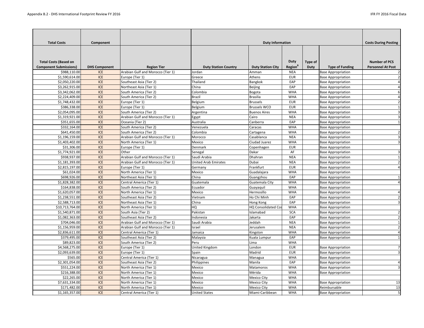| <b>Total Costs</b>                                            | Component            |                                   |                             | <b>Duty Information</b>    |                                           |                        |                           | <b>Costs During Posting</b>                      |
|---------------------------------------------------------------|----------------------|-----------------------------------|-----------------------------|----------------------------|-------------------------------------------|------------------------|---------------------------|--------------------------------------------------|
| <b>Total Costs (Based on</b><br><b>Component Submissions)</b> | <b>DHS Component</b> | <b>Region Tier</b>                | <b>Duty Station Country</b> | <b>Duty Station City</b>   | <b>Duty</b><br><b>Region</b> <sup>B</sup> | <b>Type of</b><br>Duty | <b>Type of Funding</b>    | <b>Number of PCS</b><br><b>Personnel At Post</b> |
| \$988,110.00                                                  | <b>ICE</b>           | Arabian Gulf and Morocco (Tier 1) | Jordan                      | Amman                      | <b>NEA</b>                                |                        | <b>Base Appropriation</b> |                                                  |
| \$1,590,614.00                                                | <b>ICE</b>           | Europe (Tier 1)                   | Greece                      | Athens                     | <b>EUR</b>                                |                        | <b>Base Appropriation</b> |                                                  |
| \$2,050,220.00                                                | <b>ICE</b>           | Southeast Asia (Tier 2)           | Thailand                    | Bangkok                    | EAP                                       |                        | <b>Base Appropriation</b> |                                                  |
| \$3,262,915.00                                                | <b>ICE</b>           | Northeast Asia (Tier 1)           | China                       | <b>Beijing</b>             | EAP                                       |                        | <b>Base Appropriation</b> |                                                  |
| \$3,342,062.00                                                | <b>ICE</b>           | South America (Tier 2)            | Colombia                    | Bogota                     | <b>WHA</b>                                |                        | <b>Base Appropriation</b> |                                                  |
| \$2,224,409.00                                                | <b>ICE</b>           | South America (Tier 2)            | <b>Brazil</b>               | <b>Brasilia</b>            | <b>WHA</b>                                |                        | <b>Base Appropriation</b> |                                                  |
| \$1,748,432.00                                                | <b>ICE</b>           | Europe (Tier 1)                   | Belgium                     | <b>Brussels</b>            | <b>EUR</b>                                |                        | <b>Base Appropriation</b> |                                                  |
| \$386,338.00                                                  | <b>ICE</b>           | Europe (Tier 1)                   | Belgium                     | <b>Brussels WCO</b>        | <b>EUR</b>                                |                        | <b>Base Appropriation</b> |                                                  |
| \$2,054,095.00                                                | <b>ICE</b>           | South America (Tier 2)            | Argentina                   | <b>Buenos Aires</b>        | <b>WHA</b>                                |                        | <b>Base Appropriation</b> |                                                  |
| \$1,319,921.00                                                | <b>ICE</b>           | Arabian Gulf and Morocco (Tier 1) | Egypt                       | Cairo                      | <b>NEA</b>                                |                        | <b>Base Appropriation</b> |                                                  |
| \$351,655.00                                                  | <b>ICE</b>           | Oceania (Tier 2)                  | Australia                   | Canberra                   | EAP                                       |                        | <b>Base Appropriation</b> |                                                  |
| \$332,164.00                                                  | <b>ICE</b>           | South America (Tier 2)            | Venezuela                   | Caracas                    | <b>WHA</b>                                |                        | <b>Base Appropriation</b> |                                                  |
| \$641,450.00                                                  | <b>ICE</b>           | South America (Tier 2)            | Colombia                    | Cartagena                  | <b>WHA</b>                                |                        | <b>Base Appropriation</b> |                                                  |
| \$1,196,159.00                                                | <b>ICE</b>           | Arabian Gulf and Morocco (Tier 1) | Morocco                     | Casablanca                 | <b>NEA</b>                                |                        | <b>Base Appropriation</b> |                                                  |
| \$1,403,402.00                                                | ICE                  | North America (Tier 1)            | Mexico                      | Ciudad Juarez              | <b>WHA</b>                                |                        | <b>Base Appropriation</b> |                                                  |
| \$31,306.00                                                   | <b>ICE</b>           | Europe (Tier 1)                   | Denmark                     | Copenhagen                 | <b>EUR</b>                                |                        | <b>Base Appropriation</b> |                                                  |
| \$1,774,921.00                                                | <b>ICE</b>           | Other                             | Senegal                     | Dakar                      | AF                                        |                        | <b>Base Appropriation</b> |                                                  |
| \$938,937.00                                                  | <b>ICE</b>           | Arabian Gulf and Morocco (Tier 1) | Saudi Arabia                | Dhahran                    | <b>NEA</b>                                |                        | <b>Base Appropriation</b> |                                                  |
| \$1,181,393.00                                                | <b>ICE</b>           | Arabian Gulf and Morocco (Tier 1) | <b>United Arab Emirates</b> | Dubai                      | <b>NEA</b>                                |                        | <b>Base Appropriation</b> |                                                  |
| \$2,815,197.00                                                | <b>ICE</b>           | Europe (Tier 1)                   | Germany                     | Frankfurt                  | <b>EUR</b>                                |                        | <b>Base Appropriation</b> |                                                  |
| \$61,024.00                                                   | <b>ICE</b>           | North America (Tier 1)            | Mexico                      | Guadalajara                | <b>WHA</b>                                |                        | <b>Base Appropriation</b> |                                                  |
| \$698,926.00                                                  | <b>ICE</b>           | Northeast Asia (Tier 1)           | China                       | Guangzhou                  | EAP                                       |                        | <b>Base Appropriation</b> |                                                  |
| \$1,828,382.00                                                | <b>ICE</b>           | Central America (Tier 1)          | Guatemala                   | Guatemala City             | <b>WHA</b>                                |                        | <b>Base Appropriation</b> |                                                  |
| \$164,838.00                                                  | ICE                  | South America (Tier 2)            | Ecuador                     | Guayaquil                  | <b>WHA</b>                                |                        | <b>Base Appropriation</b> |                                                  |
| \$1,620,057.00                                                | <b>ICE</b>           | North America (Tier 1)            | Mexico                      | Hermosillo                 | <b>WHA</b>                                |                        | <b>Base Appropriation</b> |                                                  |
| \$1,238,551.00                                                | <b>ICE</b>           | Southeast Asia (Tier 2)           | Vietnam                     | Ho Chi Minh                | EAP                                       |                        | <b>Base Appropriation</b> |                                                  |
| \$2,588,713.00                                                | ICE                  | Northeast Asia (Tier 1)           | China                       | Hong Kong                  | EAP                                       |                        | <b>Base Appropriation</b> |                                                  |
| \$10,713,764.00                                               | <b>ICE</b>           | North America (Tier 1)            | HQ                          | <b>HQ Consolidated Cos</b> | <b>WHA</b>                                |                        | <b>Base Appropriation</b> |                                                  |
| \$1,540,871.00                                                | <b>ICE</b>           | South Asia (Tier 2)               | Pakistan                    | Islamabad                  | <b>SCA</b>                                |                        | <b>Base Appropriation</b> |                                                  |
| \$1,082,363.00                                                | <b>ICE</b>           | Southeast Asia (Tier 2)           | Indonesia                   | Jakarta                    | EAP                                       |                        | <b>Base Appropriation</b> |                                                  |
| \$704,046.00                                                  | <b>ICE</b>           | Arabian Gulf and Morocco (Tier 1) | Saudi Arabia                | Jeddah                     | <b>NEA</b>                                |                        | <b>Base Appropriation</b> |                                                  |
| \$1,156,959.00                                                | ICE                  | Arabian Gulf and Morocco (Tier 1) | Israel                      | Jerusalem                  | <b>NEA</b>                                |                        | <b>Base Appropriation</b> |                                                  |
| \$2,836,611.00                                                | <b>ICE</b>           | Central America (Tier 1)          | Jamaica                     | Kingston                   | <b>WHA</b>                                |                        | <b>Base Appropriation</b> |                                                  |
| \$379,495.00                                                  | <b>ICE</b>           | Southeast Asia (Tier 2)           | Malaysia                    | Kuala Lumpur               | EAP                                       |                        | <b>Base Appropriation</b> |                                                  |
| \$89,823.00                                                   | <b>ICE</b>           | South America (Tier 2)            | Peru                        | Lima                       | <b>WHA</b>                                |                        |                           |                                                  |
| \$4,568,275.00                                                | <b>ICE</b>           | Europe (Tier 1)                   | United Kingdom              | London                     | <b>EUR</b>                                |                        | <b>Base Appropriation</b> |                                                  |
| \$2,093,639.00                                                | <b>ICE</b>           | Europe (Tier 1)                   | Spain                       | Madrid                     | <b>EUR</b>                                |                        | <b>Base Appropriation</b> |                                                  |
| \$565.00                                                      | ICE                  | Central America (Tier 1)          | Nicaragua                   | Managua                    | <b>WHA</b>                                |                        | <b>Base Appropriation</b> |                                                  |
| \$2,301,054.00                                                | ICE                  | Southeast Asia (Tier 2)           | Philippines                 | Manila                     | EAP                                       |                        | <b>Base Appropriation</b> |                                                  |
| \$551,224.00                                                  | ICE                  | North America (Tier 1)            | Mexico                      | Matamoros                  | <b>WHA</b>                                |                        | <b>Base Appropriation</b> |                                                  |
| \$216,388.00                                                  | <b>ICE</b>           | North America (Tier 1)            | Mexico                      | Mérida                     | <b>WHA</b>                                |                        | <b>Base Appropriation</b> |                                                  |
| \$22,265.00                                                   | ICE                  | North America (Tier 1)            | Mexico                      | <b>Mexico City</b>         | <b>WHA</b>                                |                        |                           |                                                  |
| \$7,631,334.00                                                | <b>ICE</b>           | North America (Tier 1)            | Mexico                      | <b>Mexico City</b>         | <b>WHA</b>                                |                        | <b>Base Appropriation</b> | 13                                               |
| \$171,482.00                                                  | ICE                  | North America (Tier 1)            | Mexico                      | Mexico City                | <b>WHA</b>                                |                        | Reimbursable              | 13                                               |
| \$1,165,357.00                                                | <b>ICE</b>           | Central America (Tier 1)          | <b>United States</b>        | Miami-Caribbean            | <b>WHA</b>                                |                        | <b>Base Appropriation</b> | 5                                                |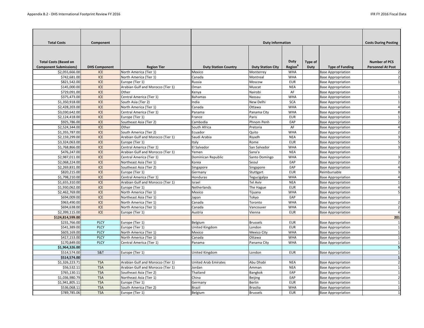| <b>Total Costs</b>                                            | Component            |                                   |                             | <b>Duty Information</b>  |                                           |                        |                           | <b>Costs During Posting</b>                      |
|---------------------------------------------------------------|----------------------|-----------------------------------|-----------------------------|--------------------------|-------------------------------------------|------------------------|---------------------------|--------------------------------------------------|
| <b>Total Costs (Based on</b><br><b>Component Submissions)</b> | <b>DHS Component</b> | <b>Region Tier</b>                | <b>Duty Station Country</b> | <b>Duty Station City</b> | <b>Duty</b><br><b>Region</b> <sup>B</sup> | <b>Type of</b><br>Duty | <b>Type of Funding</b>    | <b>Number of PCS</b><br><b>Personnel At Post</b> |
| \$2,055,666.00                                                | <b>ICE</b>           | North America (Tier 1)            | Mexico                      | Monterrey                | <b>WHA</b>                                |                        | <b>Base Appropriation</b> |                                                  |
| \$742,681.00                                                  | <b>ICE</b>           | North America (Tier 1)            | Canada                      | Montreal                 | <b>WHA</b>                                |                        | <b>Base Appropriation</b> |                                                  |
| \$821,542.00                                                  | <b>ICE</b>           | Europe (Tier 1)                   | Russia                      | Moscow                   | <b>EUR</b>                                |                        | <b>Base Appropriation</b> |                                                  |
| \$145,000.00                                                  | <b>ICE</b>           | Arabian Gulf and Morocco (Tier 1) | Oman                        | Muscat                   | <b>NEA</b>                                |                        | <b>Base Appropriation</b> |                                                  |
| \$729,091.00                                                  | <b>ICE</b>           | Other                             | Kenya                       | Nairobi                  | AF                                        |                        | <b>Base Appropriation</b> |                                                  |
| \$375,473.00                                                  | <b>ICE</b>           | Central America (Tier 1)          | <b>Bahamas</b>              | Nassau                   | <b>WHA</b>                                |                        | <b>Base Appropriation</b> |                                                  |
| \$1,350,918.00                                                | <b>ICE</b>           | South Asia (Tier 2)               | India                       | New Delhi                | <b>SCA</b>                                |                        | <b>Base Appropriation</b> |                                                  |
| \$2,428,203.00                                                | ICE                  | North America (Tier 1)            | Canada                      | Ottawa                   | <b>WHA</b>                                |                        | <b>Base Appropriation</b> |                                                  |
| \$3,030,642.00                                                | <b>ICE</b>           | Central America (Tier 1)          | Panama                      | Panama City              | <b>WHA</b>                                |                        | <b>Base Appropriation</b> | 8                                                |
| \$2,124,418.00                                                | <b>ICE</b>           | Europe (Tier 1)                   | France                      | Paris                    | <b>EUR</b>                                |                        | <b>Base Appropriation</b> |                                                  |
| \$925,786.00                                                  | <b>ICE</b>           | Southeast Asia (Tier 2)           | Cambodia                    | Phnom Penh               | EAP                                       |                        | <b>Base Appropriation</b> |                                                  |
| \$2,524,344.00                                                | <b>ICE</b>           | Other                             | South Africa                | Pretoria                 | AF                                        |                        | <b>Base Appropriation</b> |                                                  |
| \$1,355,787.00                                                | <b>ICE</b>           | South America (Tier 2)            | Ecuador                     | Quito                    | <b>WHA</b>                                |                        | <b>Base Appropriation</b> |                                                  |
| \$2,159,299.00                                                | <b>ICE</b>           | Arabian Gulf and Morocco (Tier 1) | Saudi Arabia                | Riyadh                   | <b>NEA</b>                                |                        | <b>Base Appropriation</b> |                                                  |
| \$3,324,063.00                                                | <b>ICE</b>           | Europe (Tier 1)                   | Italy                       | Rome                     | <b>EUR</b>                                |                        | <b>Base Appropriation</b> |                                                  |
| \$1,768,866.00                                                | <b>ICE</b>           | Central America (Tier 1)          | El Salvador                 | San Salvador             | <b>WHA</b>                                |                        | <b>Base Appropriation</b> |                                                  |
| \$476,247.00                                                  | <b>ICE</b>           | Arabian Gulf and Morocco (Tier 1) | Yemen                       | Sana'a                   | <b>NEA</b>                                |                        | <b>Base Appropriation</b> |                                                  |
| \$2,987,011.00                                                | <b>ICE</b>           | Central America (Tier 1)          | Dominican Republic          | Santo Domingo            | <b>WHA</b>                                |                        | <b>Base Appropriation</b> |                                                  |
| \$2,068,224.00                                                | <b>ICE</b>           | Northeast Asia (Tier 1)           | Korea                       | Seoul                    | EAP                                       |                        | <b>Base Appropriation</b> |                                                  |
| \$2,269,831.00                                                | <b>ICE</b>           | Southeast Asia (Tier 2)           | Singapore                   | Singapore                | EAP                                       |                        | <b>Base Appropriation</b> |                                                  |
| \$820,215.00                                                  | <b>ICE</b>           | Europe (Tier 1)                   | Germany                     | Stuttgart                | <b>EUR</b>                                |                        | Reimbursable              |                                                  |
| \$1,798,210.00                                                | <b>ICE</b>           | Central America (Tier 1)          | Honduras                    | Tegucigalpa              | <b>WHA</b>                                |                        | <b>Base Appropriation</b> |                                                  |
| \$1,655,310.00                                                | <b>ICE</b>           | Arabian Gulf and Morocco (Tier 1) | Israel                      | <b>Tel Aviv</b>          | <b>NEA</b>                                |                        | <b>Base Appropriation</b> |                                                  |
| \$1,930,062.00                                                | <b>ICE</b>           | Europe (Tier 1)                   | Netherlands                 | The Hague                | <b>EUR</b>                                |                        | <b>Base Appropriation</b> |                                                  |
| \$2,462,769.00                                                | <b>ICE</b>           | North America (Tier 1)            | Mexico                      | Tijuana                  | <b>WHA</b>                                |                        | <b>Base Appropriation</b> |                                                  |
| \$694,009.00                                                  | <b>ICE</b>           | Northeast Asia (Tier 1)           | Japan                       | Tokyo                    | EAP                                       |                        | <b>Base Appropriation</b> |                                                  |
| \$963,490.00                                                  | <b>ICE</b>           | North America (Tier 1)            | Canada                      | Toronto                  | <b>WHA</b>                                |                        | <b>Base Appropriation</b> |                                                  |
| \$694,638.00                                                  | <b>ICE</b>           | North America (Tier 1)            | Canada                      | Vancouver                | <b>WHA</b>                                |                        | <b>Base Appropriation</b> |                                                  |
| \$2,399,115.00                                                | <b>ICE</b>           | Europe (Tier 1)                   | Austria                     | Vienna                   | <b>EUR</b>                                |                        | <b>Base Appropriation</b> |                                                  |
| \$124,814,599.00                                              |                      |                                   |                             |                          |                                           |                        |                           | 201                                              |
| \$231,766.00                                                  | <b>PLCY</b>          | Europe (Tier 1)                   | Belgium                     | <b>Brussels</b>          | <b>EUR</b>                                |                        | <b>Base Appropriation</b> | 1                                                |
| \$541,389.00                                                  | <b>PLCY</b>          | Europe (Tier 1)                   | <b>United Kingdom</b>       | London                   | <b>EUR</b>                                |                        | <b>Base Appropriation</b> |                                                  |
| \$603,169.00                                                  | <b>PLCY</b>          | North America (Tier 1)            | Mexico                      | Mexico City              | <b>WHA</b>                                |                        | <b>Base Appropriation</b> |                                                  |
| \$417,153.00                                                  | <b>PLCY</b>          | North America (Tier 1)            | Canada                      | Ottawa                   | <b>WHA</b>                                |                        | <b>Base Appropriation</b> |                                                  |
| \$170,849.00                                                  | <b>PLCY</b>          | Central America (Tier 1)          | Panama                      | Panama City              | <b>WHA</b>                                |                        | <b>Base Appropriation</b> |                                                  |
| \$1,964,326.00                                                |                      |                                   |                             |                          |                                           |                        |                           | 5                                                |
| \$514,574.00                                                  | S&T                  | Europe (Tier 1)                   | <b>United Kingdom</b>       | London                   | <b>EUR</b>                                |                        | <b>Base Appropriation</b> |                                                  |
| \$514,574.00                                                  |                      |                                   |                             |                          |                                           |                        |                           |                                                  |
| \$1,326,223.71                                                | <b>TSA</b>           | Arabian Gulf and Morocco (Tier 1) | <b>United Arab Emirates</b> | Abu Dhabi                | <b>NEA</b>                                |                        | <b>Base Appropriation</b> | 2                                                |
| \$56,532.11                                                   | <b>TSA</b>           | Arabian Gulf and Morocco (Tier 1) | Jordan                      | Amman                    | <b>NEA</b>                                |                        | <b>Base Appropriation</b> |                                                  |
| \$765,130.11                                                  | <b>TSA</b>           | Southeast Asia (Tier 2)           | Thailand                    | Bangkok                  | EAP                                       |                        | <b>Base Appropriation</b> |                                                  |
| \$1,036,980.79                                                | <b>TSA</b>           | Northeast Asia (Tier 1)           | China                       | <b>Beijing</b>           | EAP                                       |                        | <b>Base Appropriation</b> | 2                                                |
| \$1,941,805.11                                                | <b>TSA</b>           | Europe (Tier 1)                   | Germany                     | <b>Berlin</b>            | <b>EUR</b>                                |                        | <b>Base Appropriation</b> |                                                  |
| \$536,068.11                                                  | <b>TSA</b>           | South America (Tier 2)            | <b>Brazil</b>               | <b>Brasilia</b>          | <b>WHA</b>                                |                        | <b>Base Appropriation</b> |                                                  |
| \$789,785.06                                                  | <b>TSA</b>           | Europe (Tier 1)                   | Belgium                     | <b>Brussels</b>          | <b>EUR</b>                                |                        | <b>Base Appropriation</b> |                                                  |
|                                                               |                      |                                   |                             |                          |                                           |                        |                           |                                                  |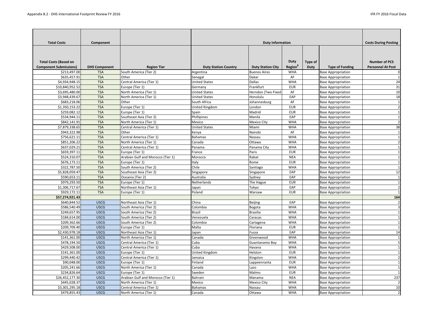| <b>Total Costs</b>                                            | Component            |                                   |                             | <b>Duty Information</b>  |                                           |                               |                                                        | <b>Costs During Posting</b>                      |
|---------------------------------------------------------------|----------------------|-----------------------------------|-----------------------------|--------------------------|-------------------------------------------|-------------------------------|--------------------------------------------------------|--------------------------------------------------|
| <b>Total Costs (Based on</b><br><b>Component Submissions)</b> | <b>DHS Component</b> | <b>Region Tier</b>                | <b>Duty Station Country</b> | <b>Duty Station City</b> | <b>Duty</b><br><b>Region</b> <sup>B</sup> | <b>Type of</b><br><b>Duty</b> | <b>Type of Funding</b>                                 | <b>Number of PCS</b><br><b>Personnel At Post</b> |
| \$213,497.00                                                  | <b>TSA</b>           | South America (Tier 2)            | Argentina                   | <b>Buenos Aires</b>      | <b>WHA</b>                                |                               | <b>Base Appropriation</b>                              |                                                  |
| \$635,457.91                                                  | <b>TSA</b>           | Other                             | Senegal                     | Dakar                    | AF                                        |                               | <b>Base Appropriation</b>                              |                                                  |
| \$4,934,948.15                                                | <b>TSA</b>           | Central America (Tier 1)          | <b>United States</b>        | <b>Dallas</b>            | <b>WHA</b>                                |                               | <b>Base Appropriation</b>                              | 24                                               |
| \$10,840,952.52                                               | <b>TSA</b>           | Europe (Tier 1)                   | Germany                     | Frankfurt                | <b>EUR</b>                                |                               | <b>Base Appropriation</b>                              | 31                                               |
| \$3,695,480.00                                                | <b>TSA</b>           | North America (Tier 1)            | <b>United States</b>        | Herndon (Two Fixed       | AF                                        |                               | <b>Base Appropriation</b>                              | 10                                               |
| \$3,948,439.67                                                | <b>TSA</b>           | North America (Tier 1)            | <b>United States</b>        | Honolulu                 | EAP                                       |                               | <b>Base Appropriation</b>                              | 18                                               |
| \$683,218.06                                                  | <b>TSA</b>           | Other                             | South Africa                | Johannesburg             | AF                                        |                               | <b>Base Appropriation</b>                              | $\mathbf{1}$                                     |
| \$1,350,153.22                                                | <b>TSA</b>           | Europe (Tier 1)                   | United Kingdom              | London                   | <b>EUR</b>                                |                               | <b>Base Appropriation</b>                              | $\overline{2}$                                   |
| \$259,082.12                                                  | <b>TSA</b>           | Europe (Tier 1)                   | Spain                       | Madrid                   | <b>EUR</b>                                |                               | <b>Base Appropriation</b>                              |                                                  |
| \$534,944.11                                                  | <b>TSA</b>           | Southeast Asia (Tier 2)           | Phillipines                 | Manila                   | EAP                                       |                               | <b>Base Appropriation</b>                              |                                                  |
| \$842,141.91                                                  | <b>TSA</b>           | North America (Tier 1)            | Mexico                      | <b>Mexico City</b>       | <b>WHA</b>                                |                               | <b>Base Appropriation</b>                              |                                                  |
| \$7,879,338.65                                                | <b>TSA</b>           | Central America (Tier 1)          | <b>United States</b>        | Miami                    | <b>WHA</b>                                |                               | <b>Base Appropriation</b>                              | 38                                               |
| \$943,322.98                                                  | <b>TSA</b>           | Other                             | Kenya                       | Nairobi                  | AF                                        |                               | <b>Base Appropriation</b>                              |                                                  |
| \$756,621.11                                                  | <b>TSA</b>           | Central America (Tier 1)          | <b>Bahamas</b>              | Nassau                   | <b>WHA</b>                                |                               | <b>Base Appropriation</b>                              |                                                  |
| \$851,206.22                                                  | <b>TSA</b>           | North America (Tier 1)            | Canada                      | Ottawa                   | <b>WHA</b>                                |                               | <b>Base Appropriation</b>                              | 2                                                |
| \$637,029.21                                                  | <b>TSA</b>           | Central America (Tier 1)          | Panama                      | Panama City              | <b>WHA</b>                                |                               | <b>Base Appropriation</b>                              |                                                  |
| \$659,397.11                                                  | <b>TSA</b>           | Europe (Tier 1)                   | France                      | Paris                    | <b>EUR</b>                                |                               | <b>Base Appropriation</b>                              |                                                  |
| \$524,310.07                                                  | <b>TSA</b>           | Arabian Gulf and Morocco (Tier 1) | Morocco                     | Rabat                    | <b>NEA</b>                                |                               | <b>Base Appropriation</b>                              |                                                  |
| \$676,173.11                                                  | <b>TSA</b>           | Europe (Tier 1)                   | Italy                       | Rome                     | <b>EUR</b>                                |                               | <b>Base Appropriation</b>                              |                                                  |
| \$322,787.50                                                  | <b>TSA</b>           | South America (Tier 2)            | Chile                       | Santiago                 | <b>WHA</b>                                |                               | <b>Base Appropriation</b>                              |                                                  |
| \$5,828,059.47                                                | <b>TSA</b>           | Southeast Asia (Tier 2)           | Singapore                   | Singapore                | EAP                                       |                               | <b>Base Appropriation</b>                              | 12                                               |
| \$590,653.11                                                  | <b>TSA</b>           | Oceania (Tier 2)                  | Australia                   | Sydney                   | EAP                                       |                               | <b>Base Appropriation</b>                              | 1                                                |
| \$979,293.50                                                  | <b>TSA</b>           | Europe (Tier 1)                   | Netherlands                 | The Hague                | <b>EUR</b>                                |                               | <b>Base Appropriation</b>                              |                                                  |
| \$1,306,717.67                                                | <b>TSA</b>           | Northeast Asia (Tier 1)           | Japan                       | Tokyo                    | EAP                                       |                               | <b>Base Appropriation</b>                              | $\overline{2}$                                   |
| \$929,172.11                                                  | <b>TSA</b>           | Europe (Tier 1)                   | Poland                      | Warsaw                   | <b>EUR</b>                                |                               | <b>Base Appropriation</b>                              |                                                  |
| \$57,274,921.43                                               |                      |                                   |                             |                          |                                           |                               |                                                        | 164                                              |
| \$640,844.52                                                  | <b>USCG</b>          | Northeast Asia (Tier 1)           | China                       | <b>Beijing</b>           | EAP                                       |                               | <b>Base Appropriation</b>                              | $\overline{2}$                                   |
| \$586,540.49                                                  | <b>USCG</b>          | South America (Tier 2)            | Colombia                    | Bogota                   | <b>WHA</b>                                |                               | <b>Base Appropriation</b>                              |                                                  |
| \$249,657.95                                                  | <b>USCG</b>          | South America (Tier 2)            | <b>Brazil</b>               | <b>Brasilia</b>          | <b>WHA</b>                                |                               | <b>Base Appropriation</b>                              |                                                  |
| \$184,614.00                                                  | <b>USCG</b>          | South America (Tier 2)            | Venezuela                   | Caracas                  | <b>WHA</b>                                |                               | <b>Base Appropriation</b>                              |                                                  |
| \$209,362.66                                                  | <b>USCG</b>          | South America (Tier 2)            | Colombia                    | Cartagena                | <b>WHA</b>                                |                               | <b>Base Appropriation</b>                              |                                                  |
| \$209,709.40                                                  | <b>USCG</b>          | Europe (Tier 1)                   | Malta                       | Floriana                 | <b>EUR</b>                                |                               | <b>Base Appropriation</b>                              |                                                  |
| \$2,430,978.18                                                | <b>USCG</b>          | Northeast Asia (Tier 1)           | Japan                       | Fussa                    | EAP                                       |                               | <b>Base Appropriation</b>                              | 14                                               |
| \$141,361.00                                                  | <b>USCG</b>          | North America (Tier 1)            | Canada                      | Greenwood                | <b>WHA</b>                                |                               | <b>Base Appropriation</b>                              |                                                  |
| \$478,194.50                                                  | <b>USCG</b>          | Central America (Tier 1)          | Cuba                        | Guantanamo Bay           | <b>WHA</b>                                |                               | <b>Base Appropriation</b>                              |                                                  |
| \$429,508.00                                                  | <b>USCG</b>          | Central America (Tier 1)          | Cuba                        | Havana                   | <b>WHA</b>                                |                               | <b>Base Appropriation</b>                              |                                                  |
| \$141,361.00                                                  | <b>USCG</b>          | Europe (Tier 1)                   | United Kingdom              | Helston                  | <b>EUR</b>                                |                               | <b>Base Appropriation</b>                              |                                                  |
| \$299,440.42                                                  | <b>USCG</b>          | Central America (Tier 1)          | Jamaica                     |                          | <b>WHA</b>                                |                               |                                                        |                                                  |
| \$90,048.00                                                   | <b>USCG</b>          | Europe (Tier 1)                   | Finland                     | Kingston                 | <b>EUR</b>                                |                               | <b>Base Appropriation</b><br><b>Base Appropriation</b> |                                                  |
| \$205,241.66                                                  | <b>USCG</b>          | North America (Tier 1)            | Canada                      | Lappeenranta<br>Lazo     | <b>WHA</b>                                |                               | <b>Base Appropriation</b>                              |                                                  |
| \$234,826.64                                                  | <b>USCG</b>          | Europe (Tier 1)                   | Sweden                      | Malmo                    | <b>EUR</b>                                |                               | <b>Base Appropriation</b>                              |                                                  |
| \$26,452,177.30                                               | <b>USCG</b>          | Arabian Gulf and Morocco (Tier 1) | <b>Bahrain</b>              | Manama                   | <b>NEA</b>                                |                               | <b>Base Appropriation</b>                              | 237                                              |
| \$445,028.37                                                  | <b>USCG</b>          |                                   | Mexico                      |                          |                                           |                               |                                                        |                                                  |
|                                                               |                      | North America (Tier 1)            |                             | <b>Mexico City</b>       | <b>WHA</b>                                |                               | <b>Base Appropriation</b>                              | $\overline{2}$                                   |
| \$3,301,295.18                                                | <b>USCG</b>          | Central America (Tier 1)          | <b>Bahamas</b>              | Nassau                   | <b>WHA</b>                                |                               | <b>Base Appropriation</b>                              | 10                                               |
| \$479,855.43                                                  | <b>USCG</b>          | North America (Tier 1)            | Canada                      | Ottawa                   | <b>WHA</b>                                |                               | <b>Base Appropriation</b>                              | $\overline{2}$                                   |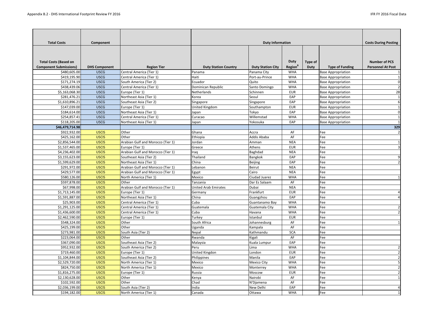| <b>Total Costs</b>                                            | Component            |                                   |                             | <b>Duty Information</b>  |                                    |                               |                           | <b>Costs During Posting</b>                      |
|---------------------------------------------------------------|----------------------|-----------------------------------|-----------------------------|--------------------------|------------------------------------|-------------------------------|---------------------------|--------------------------------------------------|
| <b>Total Costs (Based on</b><br><b>Component Submissions)</b> | <b>DHS Component</b> | <b>Region Tier</b>                | <b>Duty Station Country</b> | <b>Duty Station City</b> | <b>Duty</b><br>Region <sup>B</sup> | <b>Type of</b><br><b>Duty</b> | <b>Type of Funding</b>    | <b>Number of PCS</b><br><b>Personnel At Post</b> |
| \$480,605.00                                                  | <b>USCG</b>          | Central America (Tier 1)          | Panama                      | Panama City              | <b>WHA</b>                         |                               | <b>Base Appropriation</b> |                                                  |
| \$419,195.90                                                  | <b>USCG</b>          | Central America (Tier 1)          | Haiti                       | Port-au-Prince           | <b>WHA</b>                         |                               | <b>Base Appropriation</b> |                                                  |
| \$171,274.19                                                  | <b>USCG</b>          | South America (Tier 2)            | Ecuador                     | Quito                    | <b>WHA</b>                         |                               | <b>Base Appropriation</b> |                                                  |
| \$438,439.06                                                  | <b>USCG</b>          | Central America (Tier 1)          | Dominican Republic          | Santo Domingo            | <b>WHA</b>                         |                               | <b>Base Appropriation</b> | $\overline{2}$                                   |
| \$5,163,068.30                                                | <b>USCG</b>          | Europe (Tier 1)                   | Netherlands                 | Schinnen                 | <b>EUR</b>                         |                               | <b>Base Appropriation</b> | 28                                               |
| \$281,476.21                                                  | <b>USCG</b>          | Northeast Asia (Tier 1)           | Korea                       | Seoul                    | EAP                                |                               | <b>Base Appropriation</b> |                                                  |
| \$1,610,896.21                                                | <b>USCG</b>          | Southeast Asia (Tier 2)           | Singapore                   | Singapore                | EAP                                |                               | <b>Base Appropriation</b> |                                                  |
| \$147,039.00                                                  | <b>USCG</b>          | Europe (Tier 1)                   | United Kingdom              | Southampton              | <b>EUR</b>                         |                               | <b>Base Appropriation</b> |                                                  |
| \$184,614.00                                                  | <b>USCG</b>          | Northeast Asia (Tier 1)           | Japan                       | Tokyo                    | EAP                                |                               | <b>Base Appropriation</b> | 0                                                |
| \$254,857.41                                                  | <b>USCG</b>          | Central America (Tier 1)          | Curacao                     | Willemstad               | <b>WHA</b>                         |                               | <b>Base Appropriation</b> |                                                  |
| \$118,205.00                                                  | <b>USCG</b>          | Northeast Asia (Tier 1)           | Japan                       | Yokosuka                 | EAP                                |                               | <b>Base Appropriation</b> |                                                  |
| \$46,479,714.98                                               |                      |                                   |                             |                          |                                    |                               |                           | 329                                              |
| \$922,932.00                                                  | <b>USCIS</b>         | Other                             | Ghana                       | Accra                    | AF                                 |                               | Fee                       | $\overline{2}$                                   |
| \$425,162.00                                                  | <b>USCIS</b>         | <b>Other</b>                      | Ethiopia                    | Addis Ababa              | AF                                 |                               | Fee                       |                                                  |
| \$2,856,544.00                                                | <b>USCIS</b>         | Arabian Gulf and Morocco (Tier 1) | Jordan                      | Amman                    | <b>NEA</b>                         |                               | Fee                       |                                                  |
| \$1,537,465.00                                                | <b>USCIS</b>         | Europe (Tier 1)                   | Greece                      | Athens                   | <b>EUR</b>                         |                               | Fee                       |                                                  |
| \$4,236,402.00                                                | <b>USCIS</b>         | Arabian Gulf and Morocco (Tier 1) | Iraq                        | <b>Baghdad</b>           | <b>NEA</b>                         |                               | Fee                       |                                                  |
| \$3,155,623.00                                                | <b>USCIS</b>         | Southeast Asia (Tier 2)           | Thailand                    | <b>Bangkok</b>           | EAP                                |                               | Fee                       |                                                  |
| \$1,599,629.00                                                | <b>USCIS</b>         | Northeast Asia (Tier 1)           | China                       | Beijing                  | EAP                                |                               | Fee                       | $\overline{2}$                                   |
| \$291,972.00                                                  | <b>USCIS</b>         | Arabian Gulf and Morocco (Tier 1) | Lebanon                     | <b>Beirut</b>            | <b>NEA</b>                         |                               | Fee                       |                                                  |
| \$429,577.00                                                  | <b>USCIS</b>         | Arabian Gulf and Morocco (Tier 1) | Egypt                       | Cairo                    | <b>NEA</b>                         |                               | Fee                       |                                                  |
| \$580,126.00                                                  | <b>USCIS</b>         | North America (Tier 1)            | Mexico                      | Ciudad Juarez            | <b>WHA</b>                         |                               | Fee                       |                                                  |
| \$597,878.00                                                  | <b>USCIS</b>         | <b>Other</b>                      | Tanzania                    | Dar Es Salaam            | AF                                 |                               | Fee                       |                                                  |
| \$67,998.00                                                   | <b>USCIS</b>         | Arabian Gulf and Morocco (Tier 1) | <b>United Arab Emirates</b> | Dubai                    | <b>NEA</b>                         |                               | Fee                       |                                                  |
| \$1,713,145.00                                                | <b>USCIS</b>         | Europe (Tier 1)                   | Germany                     | Frankfurt                | <b>EUR</b>                         |                               | Fee                       |                                                  |
| \$1,591,887.00                                                | <b>USCIS</b>         | Northeast Asia (Tier 1)           | China                       | Guangzhou                | EAP                                |                               | Fee                       |                                                  |
| \$25,903.00                                                   | <b>USCIS</b>         | Central America (Tier 1)          | Cuba                        | Guantanamo Bay           | <b>WHA</b>                         |                               | Fee                       |                                                  |
| \$1,291,125.00                                                | <b>USCIS</b>         | Central America (Tier 1)          | Guatemala                   | Guatemala City           | <b>WHA</b>                         |                               | Fee                       | 2                                                |
| \$1,436,600.00                                                | <b>USCIS</b>         | Central America (Tier 1)          | Cuba                        | Havana                   | <b>WHA</b>                         |                               | Fee                       | $\overline{2}$                                   |
| \$2,462,590.00                                                | <b>USCIS</b>         | Europe (Tier 1)                   | Turkey                      | Istanbul                 | <b>EUR</b>                         |                               | Fee                       |                                                  |
| \$548,324.00                                                  | <b>USCIS</b>         | <b>Other</b>                      | South Africa                | Johannesburg             | AF                                 |                               | Fee                       |                                                  |
| \$425,199.00                                                  | <b>USCIS</b>         | Other                             | Uganda                      | Kampala                  | AF                                 |                               | Fee                       |                                                  |
| \$273,981.00                                                  | <b>USCIS</b>         | South Asia (Tier 2)               | Nepal                       | Kathmandu                | <b>SCA</b>                         |                               | Fee                       |                                                  |
| \$223,064.00                                                  | <b>USCIS</b>         | <b>Other</b>                      | Rwanda                      | Kigali                   | AF                                 |                               | Fee                       |                                                  |
| \$367,090.00                                                  | <b>USCIS</b>         | Southeast Asia (Tier 2)           | Malaysia                    | Kuala Lumpur             | EAP                                |                               | Fee                       |                                                  |
| \$952,932.00                                                  | <b>USCIS</b>         | South America (Tier 2)            | Peru                        | Lima                     | <b>WHA</b>                         |                               | Fee                       |                                                  |
| \$719,460.00                                                  | <b>USCIS</b>         | Europe (Tier 1)                   | United Kingdon              | London                   | <b>EUR</b>                         |                               | Fee                       |                                                  |
| \$1,104,844.00                                                | <b>USCIS</b>         | Southeast Asia (Tier 2)           | Philippines                 | Manila                   | EAP                                |                               | Fee                       |                                                  |
| \$2,529,720.00                                                | <b>USCIS</b>         | North America (Tier 1)            | Mexico                      | <b>Mexico City</b>       | <b>WHA</b>                         |                               | Fee                       |                                                  |
| \$824,750.00                                                  | <b>USCIS</b>         | North America (Tier 1)            | Mexico                      | Monterrey                | <b>WHA</b>                         |                               | Fee                       | $\overline{2}$                                   |
| \$1,816,275.00                                                | <b>USCIS</b>         | Europe (Tier 1)                   | Russia                      | Moscow                   | <b>EUR</b>                         |                               | Fee                       |                                                  |
| \$2,130,628.00                                                | <b>USCIS</b>         | Other                             | Kenya                       | Nairobi                  | AF                                 |                               | Fee                       |                                                  |
| \$102,592.00                                                  | <b>USCIS</b>         | Other                             | Chad                        | N'Djamena                | AF                                 |                               | Fee                       |                                                  |
| \$2,036,199.00                                                | <b>USCIS</b>         | South Asia (Tier 2)               | India                       | New Delhi                | EAP                                |                               | Fee                       |                                                  |
| \$194,182.00                                                  | <b>USCIS</b>         | North America (Tier 1)            | Canada                      | Ottawa                   | <b>WHA</b>                         |                               | Fee                       |                                                  |